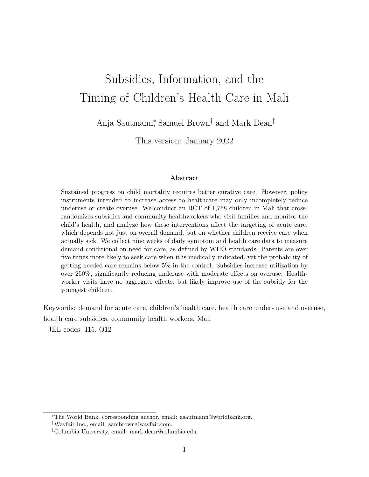# Subsidies, Information, and the Timing of Children's Health Care in Mali

Anja Sautmann<sup>∗</sup> , Samuel Brown† and Mark Dean‡

This version: January 2022

#### Abstract

Sustained progress on child mortality requires better curative care. However, policy instruments intended to increase access to healthcare may only incompletely reduce underuse or create overuse. We conduct an RCT of 1,768 children in Mali that crossrandomizes subsidies and community healthworkers who visit families and monitor the child's health, and analyze how these interventions affect the targeting of acute care, which depends not just on overall demand, but on whether children receive care when actually sick. We collect nine weeks of daily symptom and health care data to measure demand conditional on need for care, as defined by WHO standards. Parents are over five times more likely to seek care when it is medically indicated, yet the probability of getting needed care remains below 5% in the control. Subsidies increase utilization by over 250%, significantly reducing underuse with moderate effects on overuse. Healthworker visits have no aggregate effects, but likely improve use of the subsidy for the youngest children.

Keywords: demand for acute care, children's health care, health care under- use and overuse, health care subsidies, community health workers, Mali

JEL codes: I15, O12

<sup>∗</sup>The World Bank, corresponding author, email: asautmann@worldbank.org. †Wayfair Inc., email: sambrown@wayfair.com.

<sup>‡</sup>Columbia University, email: mark.dean@columbia.edu.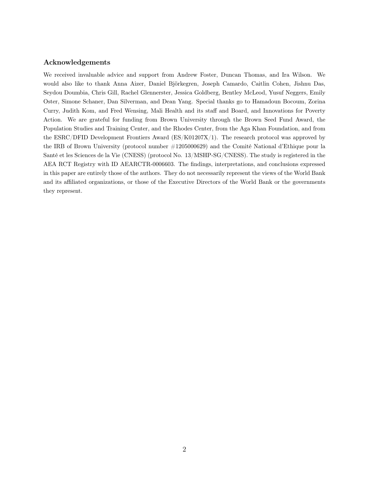#### Acknowledgements

We received invaluable advice and support from Andrew Foster, Duncan Thomas, and Ira Wilson. We would also like to thank Anna Aizer, Daniel Björkegren, Joseph Camardo, Caitlin Cohen, Jishnu Das, Seydou Doumbia, Chris Gill, Rachel Glennerster, Jessica Goldberg, Bentley McLeod, Yusuf Neggers, Emily Oster, Simone Schaner, Dan Silverman, and Dean Yang. Special thanks go to Hamadoun Bocoum, Zorina Curry, Judith Kom, and Fred Wensing, Mali Health and its staff and Board, and Innovations for Poverty Action. We are grateful for funding from Brown University through the Brown Seed Fund Award, the Population Studies and Training Center, and the Rhodes Center, from the Aga Khan Foundation, and from the ESRC/DFID Development Frontiers Award (ES/K01207X/1). The research protocol was approved by the IRB of Brown University (protocol number #1205000629) and the Comité National d'Ethique pour la Santé et les Sciences de la Vie (CNESS) (protocol No. 13/MSHP-SG/CNESS). The study is registered in the AEA RCT Registry with ID AEARCTR-0006603. The findings, interpretations, and conclusions expressed in this paper are entirely those of the authors. They do not necessarily represent the views of the World Bank and its affiliated organizations, or those of the Executive Directors of the World Bank or the governments they represent.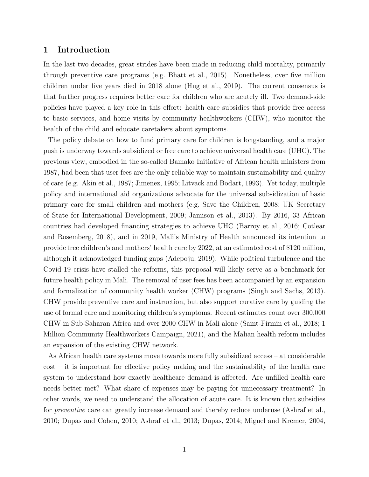## 1 Introduction

In the last two decades, great strides have been made in reducing child mortality, primarily through preventive care programs (e.g. Bhatt et al., 2015). Nonetheless, over five million children under five years died in 2018 alone (Hug et al., 2019). The current consensus is that further progress requires better care for children who are acutely ill. Two demand-side policies have played a key role in this effort: health care subsidies that provide free access to basic services, and home visits by community healthworkers (CHW), who monitor the health of the child and educate caretakers about symptoms.

The policy debate on how to fund primary care for children is longstanding, and a major push is underway towards subsidized or free care to achieve universal health care (UHC). The previous view, embodied in the so-called Bamako Initiative of African health ministers from 1987, had been that user fees are the only reliable way to maintain sustainability and quality of care (e.g. Akin et al., 1987; Jimenez, 1995; Litvack and Bodart, 1993). Yet today, multiple policy and international aid organizations advocate for the universal subsidization of basic primary care for small children and mothers (e.g. Save the Children, 2008; UK Secretary of State for International Development, 2009; Jamison et al., 2013). By 2016, 33 African countries had developed financing strategies to achieve UHC (Barroy et al., 2016; Cotlear and Rosemberg, 2018), and in 2019, Mali's Ministry of Health announced its intention to provide free children's and mothers' health care by 2022, at an estimated cost of \$120 million, although it acknowledged funding gaps (Adepoju, 2019). While political turbulence and the Covid-19 crisis have stalled the reforms, this proposal will likely serve as a benchmark for future health policy in Mali. The removal of user fees has been accompanied by an expansion and formalization of community health worker (CHW) programs (Singh and Sachs, 2013). CHW provide preventive care and instruction, but also support curative care by guiding the use of formal care and monitoring children's symptoms. Recent estimates count over 300,000 CHW in Sub-Saharan Africa and over 2000 CHW in Mali alone (Saint-Firmin et al., 2018; 1 Million Community Healthworkers Campaign, 2021), and the Malian health reform includes an expansion of the existing CHW network.

As African health care systems move towards more fully subsidized access – at considerable cost – it is important for effective policy making and the sustainability of the health care system to understand how exactly healthcare demand is affected. Are unfilled health care needs better met? What share of expenses may be paying for unnecessary treatment? In other words, we need to understand the allocation of acute care. It is known that subsidies for preventive care can greatly increase demand and thereby reduce underuse (Ashraf et al., 2010; Dupas and Cohen, 2010; Ashraf et al., 2013; Dupas, 2014; Miguel and Kremer, 2004,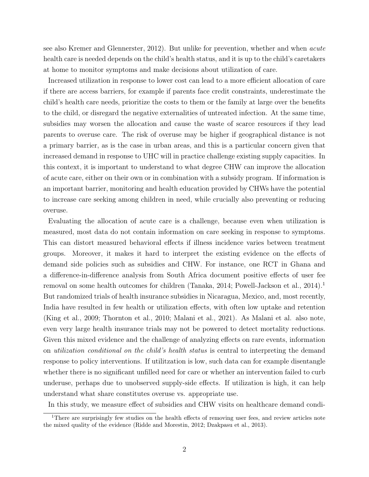see also Kremer and Glennerster, 2012). But unlike for prevention, whether and when acute health care is needed depends on the child's health status, and it is up to the child's caretakers at home to monitor symptoms and make decisions about utilization of care.

Increased utilization in response to lower cost can lead to a more efficient allocation of care if there are access barriers, for example if parents face credit constraints, underestimate the child's health care needs, prioritize the costs to them or the family at large over the benefits to the child, or disregard the negative externalities of untreated infection. At the same time, subsidies may worsen the allocation and cause the waste of scarce resources if they lead parents to overuse care. The risk of overuse may be higher if geographical distance is not a primary barrier, as is the case in urban areas, and this is a particular concern given that increased demand in response to UHC will in practice challenge existing supply capacities. In this context, it is important to understand to what degree CHW can improve the allocation of acute care, either on their own or in combination with a subsidy program. If information is an important barrier, monitoring and health education provided by CHWs have the potential to increase care seeking among children in need, while crucially also preventing or reducing overuse.

Evaluating the allocation of acute care is a challenge, because even when utilization is measured, most data do not contain information on care seeking in response to symptoms. This can distort measured behavioral effects if illness incidence varies between treatment groups. Moreover, it makes it hard to interpret the existing evidence on the effects of demand side policies such as subsidies and CHW. For instance, one RCT in Ghana and a difference-in-difference analysis from South Africa document positive effects of user fee removal on some health outcomes for children (Tanaka, 2014; Powell-Jackson et al., 2014).<sup>1</sup> But randomized trials of health insurance subsidies in Nicaragua, Mexico, and, most recently, India have resulted in few health or utilization effects, with often low uptake and retention (King et al., 2009; Thornton et al., 2010; Malani et al., 2021). As Malani et al. also note, even very large health insurance trials may not be powered to detect mortality reductions. Given this mixed evidence and the challenge of analyzing effects on rare events, information on utilization conditional on the child's health status is central to interpreting the demand response to policy interventions. If utilitzation is low, such data can for example disentangle whether there is no significant unfilled need for care or whether an intervention failed to curb underuse, perhaps due to unobserved supply-side effects. If utilization is high, it can help understand what share constitutes overuse vs. appropriate use.

In this study, we measure effect of subsidies and CHW visits on healthcare demand condi-

<sup>&</sup>lt;sup>1</sup>There are surprisingly few studies on the health effects of removing user fees, and review articles note the mixed quality of the evidence (Ridde and Morestin, 2012; Dzakpasu et al., 2013).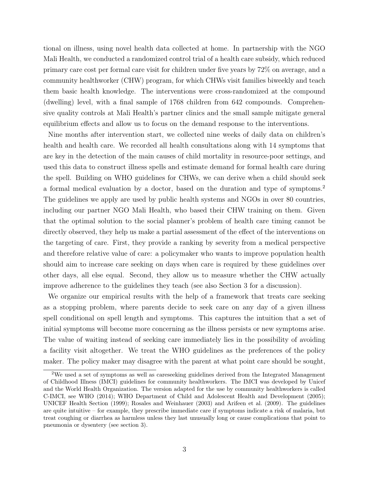tional on illness, using novel health data collected at home. In partnership with the NGO Mali Health, we conducted a randomized control trial of a health care subsidy, which reduced primary care cost per formal care visit for children under five years by 72% on average, and a community healthworker (CHW) program, for which CHWs visit families biweekly and teach them basic health knowledge. The interventions were cross-randomized at the compound (dwelling) level, with a final sample of 1768 children from 642 compounds. Comprehensive quality controls at Mali Health's partner clinics and the small sample mitigate general equilibrium effects and allow us to focus on the demand response to the interventions.

Nine months after intervention start, we collected nine weeks of daily data on children's health and health care. We recorded all health consultations along with 14 symptoms that are key in the detection of the main causes of child mortality in resource-poor settings, and used this data to construct illness spells and estimate demand for formal health care during the spell. Building on WHO guidelines for CHWs, we can derive when a child should seek a formal medical evaluation by a doctor, based on the duration and type of symptoms.<sup>2</sup> The guidelines we apply are used by public health systems and NGOs in over 80 countries, including our partner NGO Mali Health, who based their CHW training on them. Given that the optimal solution to the social planner's problem of health care timing cannot be directly observed, they help us make a partial assessment of the effect of the interventions on the targeting of care. First, they provide a ranking by severity from a medical perspective and therefore relative value of care: a policymaker who wants to improve population health should aim to increase care seeking on days when care is required by these guidelines over other days, all else equal. Second, they allow us to measure whether the CHW actually improve adherence to the guidelines they teach (see also Section 3 for a discussion).

We organize our empirical results with the help of a framework that treats care seeking as a stopping problem, where parents decide to seek care on any day of a given illness spell conditional on spell length and symptoms. This captures the intuition that a set of initial symptoms will become more concerning as the illness persists or new symptoms arise. The value of waiting instead of seeking care immediately lies in the possibility of avoiding a facility visit altogether. We treat the WHO guidelines as the preferences of the policy maker. The policy maker may disagree with the parent at what point care should be sought,

<sup>2</sup>We used a set of symptoms as well as careseeking guidelines derived from the Integrated Management of Childhood Illness (IMCI) guidelines for community healthworkers. The IMCI was developed by Unicef and the World Health Organization. The version adapted for the use by community healthworkers is called C-IMCI, see WHO (2014); WHO Department of Child and Adolescent Health and Development (2005); UNICEF Health Section (1999); Rosales and Weinhauer (2003) and Arifeen et al. (2009). The guidelines are quite intuitive – for example, they prescribe immediate care if symptoms indicate a risk of malaria, but treat coughing or diarrhea as harmless unless they last unusually long or cause complications that point to pneumonia or dysentery (see section 3).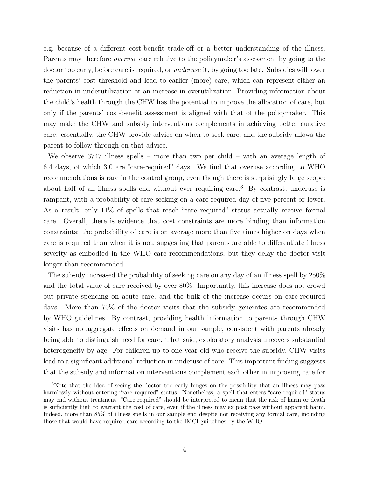e.g. because of a different cost-benefit trade-off or a better understanding of the illness. Parents may therefore overuse care relative to the policymaker's assessment by going to the doctor too early, before care is required, or underuse it, by going too late. Subsidies will lower the parents' cost threshold and lead to earlier (more) care, which can represent either an reduction in underutilization or an increase in overutilization. Providing information about the child's health through the CHW has the potential to improve the allocation of care, but only if the parents' cost-benefit assessment is aligned with that of the policymaker. This may make the CHW and subsidy interventions complements in achieving better curative care: essentially, the CHW provide advice on when to seek care, and the subsidy allows the parent to follow through on that advice.

We observe 3747 illness spells – more than two per child – with an average length of 6.4 days, of which 3.0 are "care-required" days. We find that overuse according to WHO recommendations is rare in the control group, even though there is surprisingly large scope: about half of all illness spells end without ever requiring care.<sup>3</sup> By contrast, underuse is rampant, with a probability of care-seeking on a care-required day of five percent or lower. As a result, only 11% of spells that reach "care required" status actually receive formal care. Overall, there is evidence that cost constraints are more binding than information constraints: the probability of care is on average more than five times higher on days when care is required than when it is not, suggesting that parents are able to differentiate illness severity as embodied in the WHO care recommendations, but they delay the doctor visit longer than recommended.

The subsidy increased the probability of seeking care on any day of an illness spell by 250% and the total value of care received by over 80%. Importantly, this increase does not crowd out private spending on acute care, and the bulk of the increase occurs on care-required days. More than 70% of the doctor visits that the subsidy generates are recommended by WHO guidelines. By contrast, providing health information to parents through CHW visits has no aggregate effects on demand in our sample, consistent with parents already being able to distinguish need for care. That said, exploratory analysis uncovers substantial heterogeneity by age. For children up to one year old who receive the subsidy, CHW visits lead to a significant additional reduction in underuse of care. This important finding suggests that the subsidy and information interventions complement each other in improving care for

<sup>&</sup>lt;sup>3</sup>Note that the idea of seeing the doctor too early hinges on the possibility that an illness may pass harmlessly without entering "care required" status. Nonetheless, a spell that enters "care required" status may end without treatment. "Care required" should be interpreted to mean that the risk of harm or death is sufficiently high to warrant the cost of care, even if the illness may ex post pass without apparent harm. Indeed, more than 85% of illness spells in our sample end despite not receiving any formal care, including those that would have required care according to the IMCI guidelines by the WHO.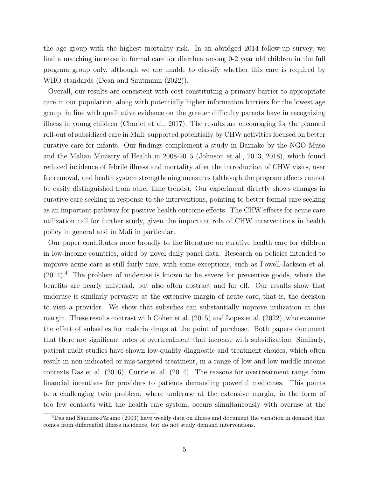the age group with the highest mortality risk. In an abridged 2014 follow-up survey, we find a matching increase in formal care for diarrhea among 0-2 year old children in the full program group only, although we are unable to classify whether this care is required by WHO standards (Dean and Sautmann (2022)).

Overall, our results are consistent with cost constituting a primary barrier to appropriate care in our population, along with potentially higher information barriers for the lowest age group, in line with qualitative evidence on the greater difficulty parents have in recognizing illness in young children (Charlet et al., 2017). The results are encouraging for the planned roll-out of subsidized care in Mali, supported potentially by CHW activities focused on better curative care for infants. Our findings complement a study in Bamako by the NGO Muso and the Malian Ministry of Health in 2008-2015 (Johnson et al., 2013, 2018), which found reduced incidence of febrile illness and mortality after the introduction of CHW visits, user fee removal, and health system strengthening measures (although the program effects cannot be easily distinguished from other time trends). Our experiment directly shows changes in curative care seeking in response to the interventions, pointing to better formal care seeking as an important pathway for positive health outcome effects. The CHW effects for acute care utilization call for further study, given the important role of CHW interventions in health policy in general and in Mali in particular.

Our paper contributes more broadly to the literature on curative health care for children in low-income countries, aided by novel daily panel data. Research on policies intended to improve acute care is still fairly rare, with some exceptions, such as Powell-Jackson et al.  $(2014).4$  The problem of underuse is known to be severe for preventive goods, where the benefits are nearly universal, but also often abstract and far off. Our results show that underuse is similarly pervasive at the extensive margin of acute care, that is, the decision to visit a provider. We show that subsidies can substantially improve utilization at this margin. These results contrast with Cohen et al. (2015) and Lopez et al. (2022), who examine the effect of subsidies for malaria drugs at the point of purchase. Both papers document that there are significant rates of overtreatment that increase with subsidization. Similarly, patient audit studies have shown low-quality diagnostic and treatment choices, which often result in non-indicated or mis-targeted treatment, in a range of low and low middle income contexts Das et al. (2016); Currie et al. (2014). The reasons for overtreatment range from financial incentives for providers to patients demanding powerful medicines. This points to a challenging twin problem, where underuse at the extensive margin, in the form of too few contacts with the health care system, occurs simultaneously with overuse at the

<sup>4</sup>Das and Sánchez-Páramo (2003) have weekly data on illness and document the variation in demand that comes from differential illness incidence, but do not study demand interventions.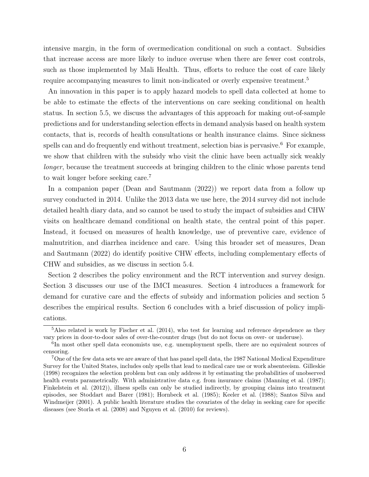intensive margin, in the form of overmedication conditional on such a contact. Subsidies that increase access are more likely to induce overuse when there are fewer cost controls, such as those implemented by Mali Health. Thus, efforts to reduce the cost of care likely require accompanying measures to limit non-indicated or overly expensive treatment.<sup>5</sup>

An innovation in this paper is to apply hazard models to spell data collected at home to be able to estimate the effects of the interventions on care seeking conditional on health status. In section 5.5, we discuss the advantages of this approach for making out-of-sample predictions and for understanding selection effects in demand analysis based on health system contacts, that is, records of health consultations or health insurance claims. Since sickness spells can and do frequently end without treatment, selection bias is pervasive.<sup>6</sup> For example, we show that children with the subsidy who visit the clinic have been actually sick weakly longer, because the treatment succeeds at bringing children to the clinic whose parents tend to wait longer before seeking care.<sup>7</sup>

In a companion paper (Dean and Sautmann (2022)) we report data from a follow up survey conducted in 2014. Unlike the 2013 data we use here, the 2014 survey did not include detailed health diary data, and so cannot be used to study the impact of subsidies and CHW visits on healthcare demand conditional on health state, the central point of this paper. Instead, it focused on measures of health knowledge, use of preventive care, evidence of malnutrition, and diarrhea incidence and care. Using this broader set of measures, Dean and Sautmann (2022) do identify positive CHW effects, including complementary effects of CHW and subsidies, as we discuss in section 5.4.

Section 2 describes the policy environment and the RCT intervention and survey design. Section 3 discusses our use of the IMCI measures. Section 4 introduces a framework for demand for curative care and the effects of subsidy and information policies and section 5 describes the empirical results. Section 6 concludes with a brief discussion of policy implications.

<sup>&</sup>lt;sup>5</sup>Also related is work by Fischer et al. (2014), who test for learning and reference dependence as they vary prices in door-to-door sales of over-the-counter drugs (but do not focus on over- or underuse).

<sup>&</sup>lt;sup>6</sup>In most other spell data economists use, e.g. unemployment spells, there are no equivalent sources of censoring.

<sup>7</sup>One of the few data sets we are aware of that has panel spell data, the 1987 National Medical Expenditure Survey for the United States, includes only spells that lead to medical care use or work absenteeism. Gilleskie (1998) recognizes the selection problem but can only address it by estimating the probabilities of unobserved health events parametrically. With administrative data e.g. from insurance claims (Manning et al. (1987); Finkelstein et al. (2012)), illness spells can only be studied indirectly, by grouping claims into treatment episodes, see Stoddart and Barer (1981); Hornbeck et al. (1985); Keeler et al. (1988); Santos Silva and Windmeijer (2001). A public health literature studies the covariates of the delay in seeking care for specific diseases (see Storla et al. (2008) and Nguyen et al. (2010) for reviews).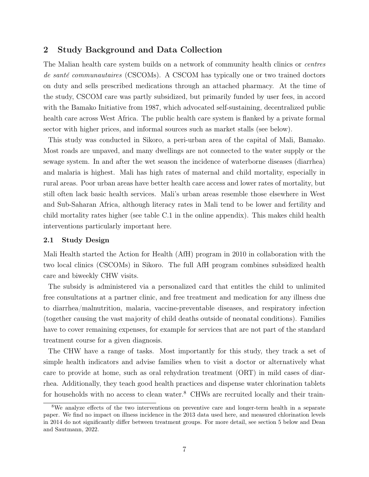## 2 Study Background and Data Collection

The Malian health care system builds on a network of community health clinics or *centres* de santé communautaires (CSCOMs). A CSCOM has typically one or two trained doctors on duty and sells prescribed medications through an attached pharmacy. At the time of the study, CSCOM care was partly subsidized, but primarily funded by user fees, in accord with the Bamako Initiative from 1987, which advocated self-sustaining, decentralized public health care across West Africa. The public health care system is flanked by a private formal sector with higher prices, and informal sources such as market stalls (see below).

This study was conducted in Sikoro, a peri-urban area of the capital of Mali, Bamako. Most roads are unpaved, and many dwellings are not connected to the water supply or the sewage system. In and after the wet season the incidence of waterborne diseases (diarrhea) and malaria is highest. Mali has high rates of maternal and child mortality, especially in rural areas. Poor urban areas have better health care access and lower rates of mortality, but still often lack basic health services. Mali's urban areas resemble those elsewhere in West and Sub-Saharan Africa, although literacy rates in Mali tend to be lower and fertility and child mortality rates higher (see table C.1 in the online appendix). This makes child health interventions particularly important here.

## 2.1 Study Design

Mali Health started the Action for Health (AfH) program in 2010 in collaboration with the two local clinics (CSCOMs) in Sikoro. The full AfH program combines subsidized health care and biweekly CHW visits.

The subsidy is administered via a personalized card that entitles the child to unlimited free consultations at a partner clinic, and free treatment and medication for any illness due to diarrhea/malnutrition, malaria, vaccine-preventable diseases, and respiratory infection (together causing the vast majority of child deaths outside of neonatal conditions). Families have to cover remaining expenses, for example for services that are not part of the standard treatment course for a given diagnosis.

The CHW have a range of tasks. Most importantly for this study, they track a set of simple health indicators and advise families when to visit a doctor or alternatively what care to provide at home, such as oral rehydration treatment (ORT) in mild cases of diarrhea. Additionally, they teach good health practices and dispense water chlorination tablets for households with no access to clean water.<sup>8</sup> CHWs are recruited locally and their train-

<sup>&</sup>lt;sup>8</sup>We analyze effects of the two interventions on preventive care and longer-term health in a separate paper. We find no impact on illness incidence in the 2013 data used here, and measured chlorination levels in 2014 do not significantly differ between treatment groups. For more detail, see section 5 below and Dean and Sautmann, 2022.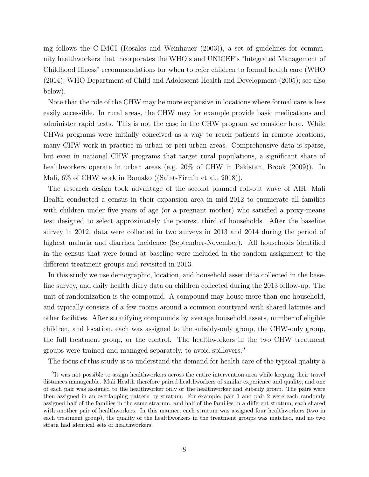ing follows the C-IMCI (Rosales and Weinhauer (2003)), a set of guidelines for community healthworkers that incorporates the WHO's and UNICEF's "Integrated Management of Childhood Illness" recommendations for when to refer children to formal health care (WHO (2014); WHO Department of Child and Adolescent Health and Development (2005); see also below).

Note that the role of the CHW may be more expansive in locations where formal care is less easily accessible. In rural areas, the CHW may for example provide basic medications and administer rapid tests. This is not the case in the CHW program we consider here. While CHWs programs were initially conceived as a way to reach patients in remote locations, many CHW work in practice in urban or peri-urban areas. Comprehensive data is sparse, but even in national CHW programs that target rural populations, a significant share of healthworkers operate in urban areas (e.g. 20% of CHW in Pakistan, Brook (2009)). In Mali, 6% of CHW work in Bamako ((Saint-Firmin et al., 2018)).

The research design took advantage of the second planned roll-out wave of AfH. Mali Health conducted a census in their expansion area in mid-2012 to enumerate all families with children under five years of age (or a pregnant mother) who satisfied a proxy-means test designed to select approximately the poorest third of households. After the baseline survey in 2012, data were collected in two surveys in 2013 and 2014 during the period of highest malaria and diarrhea incidence (September-November). All households identified in the census that were found at baseline were included in the random assignment to the different treatment groups and revisited in 2013.

In this study we use demographic, location, and household asset data collected in the baseline survey, and daily health diary data on children collected during the 2013 follow-up. The unit of randomization is the compound. A compound may house more than one household, and typically consists of a few rooms around a common courtyard with shared latrines and other facilities. After stratifying compounds by average household assets, number of eligible children, and location, each was assigned to the subsidy-only group, the CHW-only group, the full treatment group, or the control. The healthworkers in the two CHW treatment groups were trained and managed separately, to avoid spillovers.<sup>9</sup>

The focus of this study is to understand the demand for health care of the typical quality a

<sup>&</sup>lt;sup>9</sup>It was not possible to assign healthworkers across the entire intervention area while keeping their travel distances manageable. Mali Health therefore paired healthworkers of similar experience and quality, and one of each pair was assigned to the healthworker only or the healthworker and subsidy group. The pairs were then assigned in an overlapping pattern by stratum. For example, pair 1 and pair 2 were each randomly assigned half of the families in the same stratum, and half of the families in a different stratum, each shared with another pair of healthworkers. In this manner, each stratum was assigned four healthworkers (two in each treatment group), the quality of the healthworkers in the treatment groups was matched, and no two strata had identical sets of healthworkers.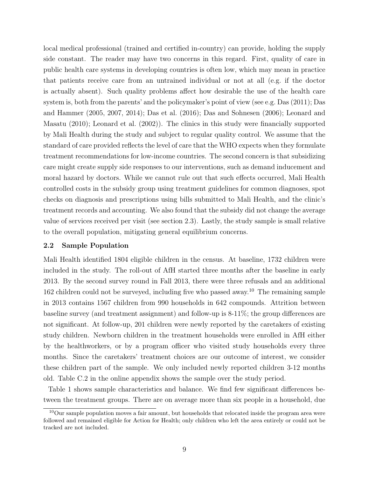local medical professional (trained and certified in-country) can provide, holding the supply side constant. The reader may have two concerns in this regard. First, quality of care in public health care systems in developing countries is often low, which may mean in practice that patients receive care from an untrained individual or not at all (e.g. if the doctor is actually absent). Such quality problems affect how desirable the use of the health care system is, both from the parents' and the policymaker's point of view (see e.g. Das (2011); Das and Hammer (2005, 2007, 2014); Das et al. (2016); Das and Sohnesen (2006); Leonard and Masatu (2010); Leonard et al. (2002)). The clinics in this study were financially supported by Mali Health during the study and subject to regular quality control. We assume that the standard of care provided reflects the level of care that the WHO expects when they formulate treatment recommendations for low-income countries. The second concern is that subsidizing care might create supply side responses to our interventions, such as demand inducement and moral hazard by doctors. While we cannot rule out that such effects occurred, Mali Health controlled costs in the subsidy group using treatment guidelines for common diagnoses, spot checks on diagnosis and prescriptions using bills submitted to Mali Health, and the clinic's treatment records and accounting. We also found that the subsidy did not change the average value of services received per visit (see section 2.3). Lastly, the study sample is small relative to the overall population, mitigating general equilibrium concerns.

## 2.2 Sample Population

Mali Health identified 1804 eligible children in the census. At baseline, 1732 children were included in the study. The roll-out of AfH started three months after the baseline in early 2013. By the second survey round in Fall 2013, there were three refusals and an additional 162 children could not be surveyed, including five who passed away.<sup>10</sup> The remaining sample in 2013 contains 1567 children from 990 households in 642 compounds. Attrition between baseline survey (and treatment assignment) and follow-up is 8-11%; the group differences are not significant. At follow-up, 201 children were newly reported by the caretakers of existing study children. Newborn children in the treatment households were enrolled in AfH either by the healthworkers, or by a program officer who visited study households every three months. Since the caretakers' treatment choices are our outcome of interest, we consider these children part of the sample. We only included newly reported children 3-12 months old. Table C.2 in the online appendix shows the sample over the study period.

Table 1 shows sample characteristics and balance. We find few significant differences between the treatment groups. There are on average more than six people in a household, due

<sup>10</sup>Our sample population moves a fair amount, but households that relocated inside the program area were followed and remained eligible for Action for Health; only children who left the area entirely or could not be tracked are not included.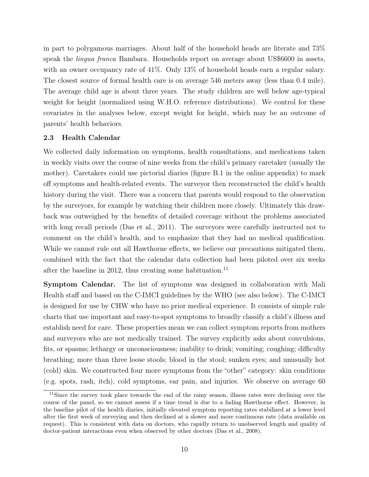in part to polygamous marriages. About half of the household heads are literate and 73% speak the *lingua franca* Bambara. Households report on average about US\$6600 in assets, with an owner occupancy rate of 41%. Only 13% of household heads earn a regular salary. The closest source of formal health care is on average 546 meters away (less than 0.4 mile). The average child age is about three years. The study children are well below age-typical weight for height (normalized using W.H.O. reference distributions). We control for these covariates in the analyses below, except weight for height, which may be an outcome of parents' health behaviors.

#### 2.3 Health Calendar

We collected daily information on symptoms, health consultations, and medications taken in weekly visits over the course of nine weeks from the child's primary caretaker (usually the mother). Caretakers could use pictorial diaries (figure B.1 in the online appendix) to mark off symptoms and health-related events. The surveyor then reconstructed the child's health history during the visit. There was a concern that parents would respond to the observation by the surveyors, for example by watching their children more closely. Ultimately this drawback was outweighed by the benefits of detailed coverage without the problems associated with long recall periods (Das et al., 2011). The surveyors were carefully instructed not to comment on the child's health, and to emphasize that they had no medical qualification. While we cannot rule out all Hawthorne effects, we believe our precautions mitigated them, combined with the fact that the calendar data collection had been piloted over six weeks after the baseline in 2012, thus creating some habituation.<sup>11</sup>

Symptom Calendar. The list of symptoms was designed in collaboration with Mali Health staff and based on the C-IMCI guidelines by the WHO (see also below). The C-IMCI is designed for use by CHW who have no prior medical experience. It consists of simple rule charts that use important and easy-to-spot symptoms to broadly classify a child's illness and establish need for care. These properties mean we can collect symptom reports from mothers and surveyors who are not medically trained. The survey explicitly asks about convulsions, fits, or spasms; lethargy or unconsciousness; inability to drink; vomiting; coughing; difficulty breathing; more than three loose stools; blood in the stool; sunken eyes; and unusually hot (cold) skin. We constructed four more symptoms from the "other" category: skin conditions (e.g. spots, rash, itch), cold symptoms, ear pain, and injuries. We observe on average 60

<sup>&</sup>lt;sup>11</sup>Since the survey took place towards the end of the rainy season, illness rates were declining over the course of the panel, so we cannot assess if a time trend is due to a fading Hawthorne effect. However, in the baseline pilot of the health diaries, initially elevated symptom reporting rates stabilized at a lower level after the first week of surveying and then declined at a slower and more continuous rate (data available on request). This is consistent with data on doctors, who rapidly return to unobserved length and quality of doctor-patient interactions even when observed by other doctors (Das et al., 2008).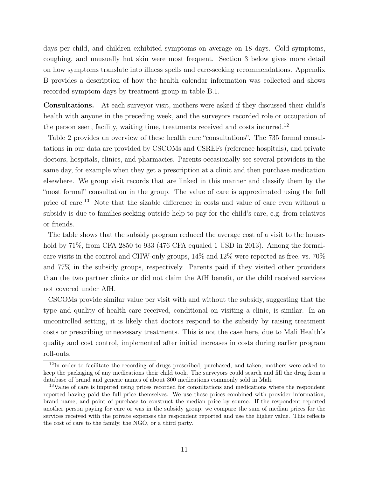days per child, and children exhibited symptoms on average on 18 days. Cold symptoms, coughing, and unusually hot skin were most frequent. Section 3 below gives more detail on how symptoms translate into illness spells and care-seeking recommendations. Appendix B provides a description of how the health calendar information was collected and shows recorded symptom days by treatment group in table B.1.

Consultations. At each surveyor visit, mothers were asked if they discussed their child's health with anyone in the preceding week, and the surveyors recorded role or occupation of the person seen, facility, waiting time, treatments received and costs incurred.<sup>12</sup>

Table 2 provides an overview of these health care "consultations". The 735 formal consultations in our data are provided by CSCOMs and CSREFs (reference hospitals), and private doctors, hospitals, clinics, and pharmacies. Parents occasionally see several providers in the same day, for example when they get a prescription at a clinic and then purchase medication elsewhere. We group visit records that are linked in this manner and classify them by the "most formal" consultation in the group. The value of care is approximated using the full price of care.<sup>13</sup> Note that the sizable difference in costs and value of care even without a subsidy is due to families seeking outside help to pay for the child's care, e.g. from relatives or friends.

The table shows that the subsidy program reduced the average cost of a visit to the household by 71%, from CFA 2850 to 933 (476 CFA equaled 1 USD in 2013). Among the formalcare visits in the control and CHW-only groups, 14% and 12% were reported as free, vs. 70% and 77% in the subsidy groups, respectively. Parents paid if they visited other providers than the two partner clinics or did not claim the AfH benefit, or the child received services not covered under AfH.

CSCOMs provide similar value per visit with and without the subsidy, suggesting that the type and quality of health care received, conditional on visiting a clinic, is similar. In an uncontrolled setting, it is likely that doctors respond to the subsidy by raising treatment costs or prescribing unnecessary treatments. This is not the case here, due to Mali Health's quality and cost control, implemented after initial increases in costs during earlier program roll-outs.

<sup>&</sup>lt;sup>12</sup>In order to facilitate the recording of drugs prescribed, purchased, and taken, mothers were asked to keep the packaging of any medications their child took. The surveyors could search and fill the drug from a database of brand and generic names of about 300 medications commonly sold in Mali.

<sup>&</sup>lt;sup>13</sup>Value of care is imputed using prices recorded for consultations and medications where the respondent reported having paid the full price themselves. We use these prices combined with provider information, brand name, and point of purchase to construct the median price by source. If the respondent reported another person paying for care or was in the subsidy group, we compare the sum of median prices for the services received with the private expenses the respondent reported and use the higher value. This reflects the cost of care to the family, the NGO, or a third party.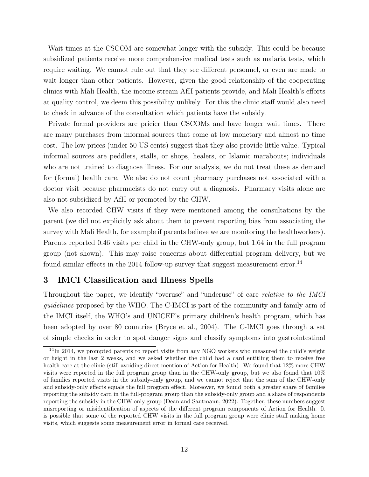Wait times at the CSCOM are somewhat longer with the subsidy. This could be because subsidized patients receive more comprehensive medical tests such as malaria tests, which require waiting. We cannot rule out that they see different personnel, or even are made to wait longer than other patients. However, given the good relationship of the cooperating clinics with Mali Health, the income stream AfH patients provide, and Mali Health's efforts at quality control, we deem this possibility unlikely. For this the clinic staff would also need to check in advance of the consultation which patients have the subsidy.

Private formal providers are pricier than CSCOMs and have longer wait times. There are many purchases from informal sources that come at low monetary and almost no time cost. The low prices (under 50 US cents) suggest that they also provide little value. Typical informal sources are peddlers, stalls, or shops, healers, or Islamic marabouts; individuals who are not trained to diagnose illness. For our analysis, we do not treat these as demand for (formal) health care. We also do not count pharmacy purchases not associated with a doctor visit because pharmacists do not carry out a diagnosis. Pharmacy visits alone are also not subsidized by AfH or promoted by the CHW.

We also recorded CHW visits if they were mentioned among the consultations by the parent (we did not explicitly ask about them to prevent reporting bias from associating the survey with Mali Health, for example if parents believe we are monitoring the healthworkers). Parents reported 0.46 visits per child in the CHW-only group, but 1.64 in the full program group (not shown). This may raise concerns about differential program delivery, but we found similar effects in the 2014 follow-up survey that suggest measurement error.<sup>14</sup>

## 3 IMCI Classification and Illness Spells

Throughout the paper, we identify "overuse" and "underuse" of care relative to the IMCI guidelines proposed by the WHO. The C-IMCI is part of the community and family arm of the IMCI itself, the WHO's and UNICEF's primary children's health program, which has been adopted by over 80 countries (Bryce et al., 2004). The C-IMCI goes through a set of simple checks in order to spot danger signs and classify symptoms into gastrointestinal

<sup>&</sup>lt;sup>14</sup>In 2014, we prompted parents to report visits from any NGO workers who measured the child's weight or height in the last 2 weeks, and we asked whether the child had a card entitling them to receive free health care at the clinic (still avoiding direct mention of Action for Health). We found that 12\% more CHW visits were reported in the full program group than in the CHW-only group, but we also found that 10% of families reported visits in the subsidy-only group, and we cannot reject that the sum of the CHW-only and subsidy-only effects equals the full program effect. Moreover, we found both a greater share of families reporting the subsidy card in the full-program group than the subsidy-only group and a share of respondents reporting the subsidy in the CHW only group (Dean and Sautmann, 2022). Together, these numbers suggest misreporting or misidentification of aspects of the different program components of Action for Health. It is possible that some of the reported CHW visits in the full program group were clinic staff making home visits, which suggests some measurement error in formal care received.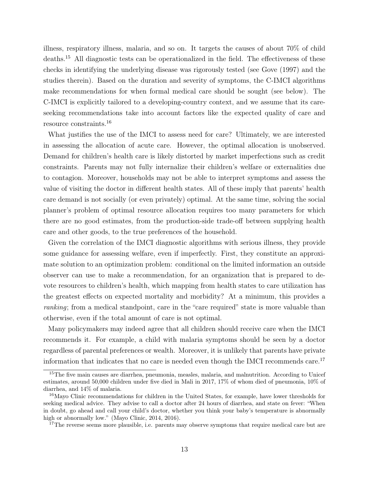illness, respiratory illness, malaria, and so on. It targets the causes of about 70% of child deaths.<sup>15</sup> All diagnostic tests can be operationalized in the field. The effectiveness of these checks in identifying the underlying disease was rigorously tested (see Gove (1997) and the studies therein). Based on the duration and severity of symptoms, the C-IMCI algorithms make recommendations for when formal medical care should be sought (see below). The C-IMCI is explicitly tailored to a developing-country context, and we assume that its careseeking recommendations take into account factors like the expected quality of care and resource constraints.<sup>16</sup>

What justifies the use of the IMCI to assess need for care? Ultimately, we are interested in assessing the allocation of acute care. However, the optimal allocation is unobserved. Demand for children's health care is likely distorted by market imperfections such as credit constraints. Parents may not fully internalize their children's welfare or externalities due to contagion. Moreover, households may not be able to interpret symptoms and assess the value of visiting the doctor in different health states. All of these imply that parents' health care demand is not socially (or even privately) optimal. At the same time, solving the social planner's problem of optimal resource allocation requires too many parameters for which there are no good estimates, from the production-side trade-off between supplying health care and other goods, to the true preferences of the household.

Given the correlation of the IMCI diagnostic algorithms with serious illness, they provide some guidance for assessing welfare, even if imperfectly. First, they constitute an approximate solution to an optimization problem: conditional on the limited information an outside observer can use to make a recommendation, for an organization that is prepared to devote resources to children's health, which mapping from health states to care utilization has the greatest effects on expected mortality and morbidity? At a minimum, this provides a ranking; from a medical standpoint, care in the "care required" state is more valuable than otherwise, even if the total amount of care is not optimal.

Many policymakers may indeed agree that all children should receive care when the IMCI recommends it. For example, a child with malaria symptoms should be seen by a doctor regardless of parental preferences or wealth. Moreover, it is unlikely that parents have private information that indicates that no care is needed even though the IMCI recommends care.<sup>17</sup>

<sup>&</sup>lt;sup>15</sup>The five main causes are diarrhea, pneumonia, measles, malaria, and malnutrition. According to Unicef estimates, around 50,000 children under five died in Mali in 2017, 17% of whom died of pneumonia, 10% of diarrhea, and 14% of malaria.

<sup>16</sup>Mayo Clinic recommendations for children in the United States, for example, have lower thresholds for seeking medical advice. They advise to call a doctor after 24 hours of diarrhea, and state on fever: "When in doubt, go ahead and call your child's doctor, whether you think your baby's temperature is abnormally high or abnormally low." (Mayo Clinic, 2014, 2016).

<sup>&</sup>lt;sup>17</sup>The reverse seems more plausible, i.e. parents may observe symptoms that require medical care but are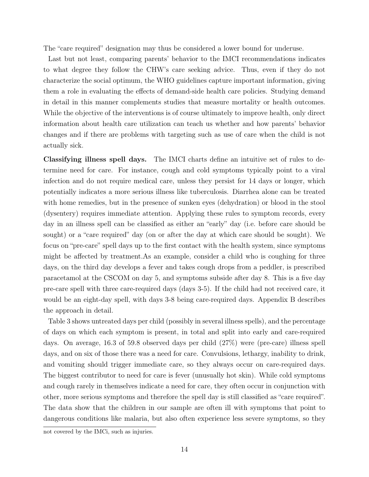The "care required" designation may thus be considered a lower bound for underuse.

Last but not least, comparing parents' behavior to the IMCI recommendations indicates to what degree they follow the CHW's care seeking advice. Thus, even if they do not characterize the social optimum, the WHO guidelines capture important information, giving them a role in evaluating the effects of demand-side health care policies. Studying demand in detail in this manner complements studies that measure mortality or health outcomes. While the objective of the interventions is of course ultimately to improve health, only direct information about health care utilization can teach us whether and how parents' behavior changes and if there are problems with targeting such as use of care when the child is not actually sick.

Classifying illness spell days. The IMCI charts define an intuitive set of rules to determine need for care. For instance, cough and cold symptoms typically point to a viral infection and do not require medical care, unless they persist for 14 days or longer, which potentially indicates a more serious illness like tuberculosis. Diarrhea alone can be treated with home remedies, but in the presence of sunken eyes (dehydration) or blood in the stool (dysentery) requires immediate attention. Applying these rules to symptom records, every day in an illness spell can be classified as either an "early" day (i.e. before care should be sought) or a "care required" day (on or after the day at which care should be sought). We focus on "pre-care" spell days up to the first contact with the health system, since symptoms might be affected by treatment.As an example, consider a child who is coughing for three days, on the third day develops a fever and takes cough drops from a peddler, is prescribed paracetamol at the CSCOM on day 5, and symptoms subside after day 8. This is a five day pre-care spell with three care-required days (days 3-5). If the child had not received care, it would be an eight-day spell, with days 3-8 being care-required days. Appendix B describes the approach in detail.

Table 3 shows untreated days per child (possibly in several illness spells), and the percentage of days on which each symptom is present, in total and split into early and care-required days. On average, 16.3 of 59.8 observed days per child (27%) were (pre-care) illness spell days, and on six of those there was a need for care. Convulsions, lethargy, inability to drink, and vomiting should trigger immediate care, so they always occur on care-required days. The biggest contributor to need for care is fever (unusually hot skin). While cold symptoms and cough rarely in themselves indicate a need for care, they often occur in conjunction with other, more serious symptoms and therefore the spell day is still classified as "care required". The data show that the children in our sample are often ill with symptoms that point to dangerous conditions like malaria, but also often experience less severe symptoms, so they

not covered by the IMCi, such as injuries.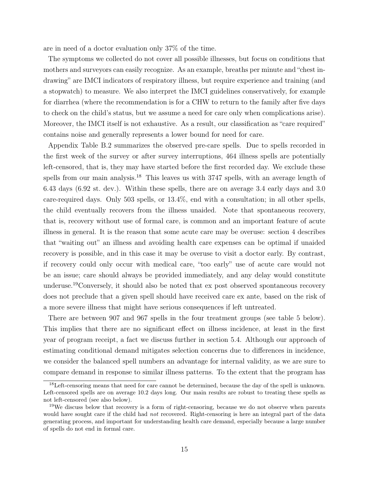are in need of a doctor evaluation only 37% of the time.

The symptoms we collected do not cover all possible illnesses, but focus on conditions that mothers and surveyors can easily recognize. As an example, breaths per minute and "chest indrawing" are IMCI indicators of respiratory illness, but require experience and training (and a stopwatch) to measure. We also interpret the IMCI guidelines conservatively, for example for diarrhea (where the recommendation is for a CHW to return to the family after five days to check on the child's status, but we assume a need for care only when complications arise). Moreover, the IMCI itself is not exhaustive. As a result, our classification as "care required" contains noise and generally represents a lower bound for need for care.

Appendix Table B.2 summarizes the observed pre-care spells. Due to spells recorded in the first week of the survey or after survey interruptions, 464 illness spells are potentially left-censored, that is, they may have started before the first recorded day. We exclude these spells from our main analysis.<sup>18</sup> This leaves us with 3747 spells, with an average length of 6.43 days (6.92 st. dev.). Within these spells, there are on average 3.4 early days and 3.0 care-required days. Only 503 spells, or 13.4%, end with a consultation; in all other spells, the child eventually recovers from the illness unaided. Note that spontaneous recovery, that is, recovery without use of formal care, is common and an important feature of acute illness in general. It is the reason that some acute care may be overuse: section 4 describes that "waiting out" an illness and avoiding health care expenses can be optimal if unaided recovery is possible, and in this case it may be overuse to visit a doctor early. By contrast, if recovery could only occur with medical care, "too early" use of acute care would not be an issue; care should always be provided immediately, and any delay would constitute underuse.<sup>19</sup>Conversely, it should also be noted that ex post observed spontaneous recovery does not preclude that a given spell should have received care ex ante, based on the risk of a more severe illness that might have serious consequences if left untreated.

There are between 907 and 967 spells in the four treatment groups (see table 5 below). This implies that there are no significant effect on illness incidence, at least in the first year of program receipt, a fact we discuss further in section 5.4. Although our approach of estimating conditional demand mitigates selection concerns due to differences in incidence, we consider the balanced spell numbers an advantage for internal validity, as we are sure to compare demand in response to similar illness patterns. To the extent that the program has

<sup>18</sup>Left-censoring means that need for care cannot be determined, because the day of the spell is unknown. Left-censored spells are on average 10.2 days long. Our main results are robust to treating these spells as not left-censored (see also below).

<sup>&</sup>lt;sup>19</sup>We discuss below that recovery is a form of right-censoring, because we do not observe when parents would have sought care if the child had *not* recovered. Right-censoring is here an integral part of the data generating process, and important for understanding health care demand, especially because a large number of spells do not end in formal care.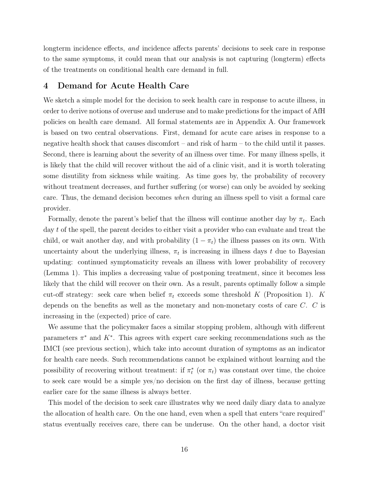longterm incidence effects, and incidence affects parents' decisions to seek care in response to the same symptoms, it could mean that our analysis is not capturing (longterm) effects of the treatments on conditional health care demand in full.

## 4 Demand for Acute Health Care

We sketch a simple model for the decision to seek health care in response to acute illness, in order to derive notions of overuse and underuse and to make predictions for the impact of AfH policies on health care demand. All formal statements are in Appendix A. Our framework is based on two central observations. First, demand for acute care arises in response to a negative health shock that causes discomfort – and risk of harm – to the child until it passes. Second, there is learning about the severity of an illness over time. For many illness spells, it is likely that the child will recover without the aid of a clinic visit, and it is worth tolerating some disutility from sickness while waiting. As time goes by, the probability of recovery without treatment decreases, and further suffering (or worse) can only be avoided by seeking care. Thus, the demand decision becomes when during an illness spell to visit a formal care provider.

Formally, denote the parent's belief that the illness will continue another day by  $\pi_t$ . Each day t of the spell, the parent decides to either visit a provider who can evaluate and treat the child, or wait another day, and with probability  $(1 - \pi_t)$  the illness passes on its own. With uncertainty about the underlying illness,  $\pi_t$  is increasing in illness days t due to Bayesian updating: continued symptomaticity reveals an illness with lower probability of recovery (Lemma 1). This implies a decreasing value of postponing treatment, since it becomes less likely that the child will recover on their own. As a result, parents optimally follow a simple cut-off strategy: seek care when belief  $\pi_t$  exceeds some threshold K (Proposition 1). K depends on the benefits as well as the monetary and non-monetary costs of care C. C is increasing in the (expected) price of care.

We assume that the policymaker faces a similar stopping problem, although with different parameters  $\pi^*$  and  $K^*$ . This agrees with expert care seeking recommendations such as the IMCI (see previous section), which take into account duration of symptoms as an indicator for health care needs. Such recommendations cannot be explained without learning and the possibility of recovering without treatment: if  $\pi_t^*$  (or  $\pi_t$ ) was constant over time, the choice to seek care would be a simple yes/no decision on the first day of illness, because getting earlier care for the same illness is always better.

This model of the decision to seek care illustrates why we need daily diary data to analyze the allocation of health care. On the one hand, even when a spell that enters "care required" status eventually receives care, there can be underuse. On the other hand, a doctor visit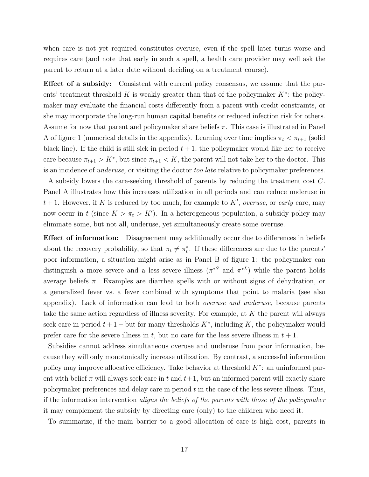when care is not yet required constitutes overuse, even if the spell later turns worse and requires care (and note that early in such a spell, a health care provider may well ask the parent to return at a later date without deciding on a treatment course).

Effect of a subsidy: Consistent with current policy consensus, we assume that the parents' treatment threshold K is weakly greater than that of the policymaker  $K^*$ : the policymaker may evaluate the financial costs differently from a parent with credit constraints, or she may incorporate the long-run human capital benefits or reduced infection risk for others. Assume for now that parent and policymaker share beliefs  $\pi$ . This case is illustrated in Panel A of figure 1 (numerical details in the appendix). Learning over time implies  $\pi_t < \pi_{t+1}$  (solid black line). If the child is still sick in period  $t + 1$ , the policymaker would like her to receive care because  $\pi_{t+1} > K^*$ , but since  $\pi_{t+1} < K$ , the parent will not take her to the doctor. This is an incidence of underuse, or visiting the doctor too late relative to policymaker preferences.

A subsidy lowers the care-seeking threshold of parents by reducing the treatment cost C. Panel A illustrates how this increases utilization in all periods and can reduce underuse in  $t+1$ . However, if K is reduced by too much, for example to K', overuse, or early care, may now occur in t (since  $K > \pi_t > K'$ ). In a heterogeneous population, a subsidy policy may eliminate some, but not all, underuse, yet simultaneously create some overuse.

Effect of information: Disagreement may additionally occur due to differences in beliefs about the recovery probability, so that  $\pi_t \neq \pi_t^*$ . If these differences are due to the parents' poor information, a situation might arise as in Panel B of figure 1: the policymaker can distinguish a more severe and a less severe illness  $(\pi^{*S}$  and  $\pi^{*L})$  while the parent holds average beliefs  $\pi$ . Examples are diarrhea spells with or without signs of dehydration, or a generalized fever vs. a fever combined with symptoms that point to malaria (see also appendix). Lack of information can lead to both overuse and underuse, because parents take the same action regardless of illness severity. For example, at K the parent will always seek care in period  $t + 1$  – but for many thresholds  $K^*$ , including K, the policymaker would prefer care for the severe illness in t, but no care for the less severe illness in  $t + 1$ .

Subsidies cannot address simultaneous overuse and underuse from poor information, because they will only monotonically increase utilization. By contrast, a successful information policy may improve allocative efficiency. Take behavior at threshold  $K^*$ : an uninformed parent with belief  $\pi$  will always seek care in t and  $t+1$ , but an informed parent will exactly share policymaker preferences and delay care in period  $t$  in the case of the less severe illness. Thus, if the information intervention aligns the beliefs of the parents with those of the policymaker it may complement the subsidy by directing care (only) to the children who need it.

To summarize, if the main barrier to a good allocation of care is high cost, parents in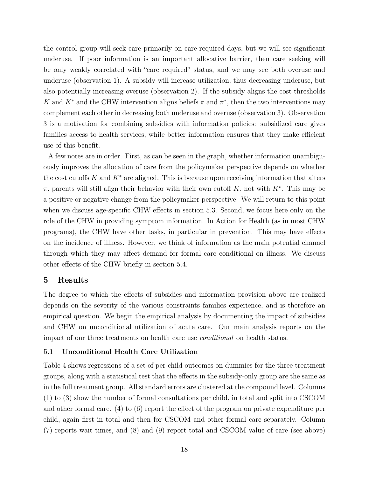the control group will seek care primarily on care-required days, but we will see significant underuse. If poor information is an important allocative barrier, then care seeking will be only weakly correlated with "care required" status, and we may see both overuse and underuse (observation 1). A subsidy will increase utilization, thus decreasing underuse, but also potentially increasing overuse (observation 2). If the subsidy aligns the cost thresholds K and  $K^*$  and the CHW intervention aligns beliefs  $\pi$  and  $\pi^*$ , then the two interventions may complement each other in decreasing both underuse and overuse (observation 3). Observation 3 is a motivation for combining subsidies with information policies: subsidized care gives families access to health services, while better information ensures that they make efficient use of this benefit.

A few notes are in order. First, as can be seen in the graph, whether information unambiguously improves the allocation of care from the policymaker perspective depends on whether the cost cutoffs K and  $K^*$  are aligned. This is because upon receiving information that alters  $\pi$ , parents will still align their behavior with their own cutoff K, not with K<sup>\*</sup>. This may be a positive or negative change from the policymaker perspective. We will return to this point when we discuss age-specific CHW effects in section 5.3. Second, we focus here only on the role of the CHW in providing symptom information. In Action for Health (as in most CHW programs), the CHW have other tasks, in particular in prevention. This may have effects on the incidence of illness. However, we think of information as the main potential channel through which they may affect demand for formal care conditional on illness. We discuss other effects of the CHW briefly in section 5.4.

## 5 Results

The degree to which the effects of subsidies and information provision above are realized depends on the severity of the various constraints families experience, and is therefore an empirical question. We begin the empirical analysis by documenting the impact of subsidies and CHW on unconditional utilization of acute care. Our main analysis reports on the impact of our three treatments on health care use conditional on health status.

## 5.1 Unconditional Health Care Utilization

Table 4 shows regressions of a set of per-child outcomes on dummies for the three treatment groups, along with a statistical test that the effects in the subsidy-only group are the same as in the full treatment group. All standard errors are clustered at the compound level. Columns (1) to (3) show the number of formal consultations per child, in total and split into CSCOM and other formal care. (4) to (6) report the effect of the program on private expenditure per child, again first in total and then for CSCOM and other formal care separately. Column (7) reports wait times, and (8) and (9) report total and CSCOM value of care (see above)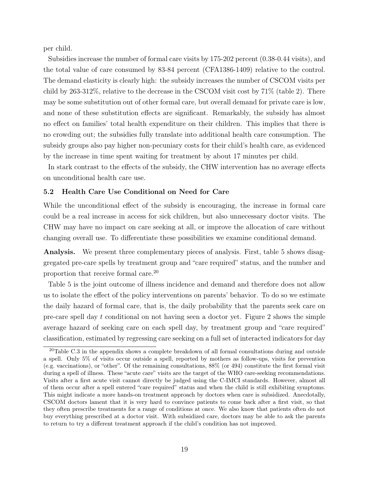per child.

Subsidies increase the number of formal care visits by 175-202 percent (0.38-0.44 visits), and the total value of care consumed by 83-84 percent (CFA1386-1409) relative to the control. The demand elasticity is clearly high: the subsidy increases the number of CSCOM visits per child by 263-312%, relative to the decrease in the CSCOM visit cost by 71% (table 2). There may be some substitution out of other formal care, but overall demand for private care is low, and none of these substitution effects are significant. Remarkably, the subsidy has almost no effect on families' total health expenditure on their children. This implies that there is no crowding out; the subsidies fully translate into additional health care consumption. The subsidy groups also pay higher non-pecuniary costs for their child's health care, as evidenced by the increase in time spent waiting for treatment by about 17 minutes per child.

In stark contrast to the effects of the subsidy, the CHW intervention has no average effects on unconditional health care use.

## 5.2 Health Care Use Conditional on Need for Care

While the unconditional effect of the subsidy is encouraging, the increase in formal care could be a real increase in access for sick children, but also unnecessary doctor visits. The CHW may have no impact on care seeking at all, or improve the allocation of care without changing overall use. To differentiate these possibilities we examine conditional demand.

Analysis. We present three complementary pieces of analysis. First, table 5 shows disaggregated pre-care spells by treatment group and "care required" status, and the number and proportion that receive formal care.<sup>20</sup>

Table 5 is the joint outcome of illness incidence and demand and therefore does not allow us to isolate the effect of the policy interventions on parents' behavior. To do so we estimate the daily hazard of formal care, that is, the daily probability that the parents seek care on pre-care spell day  $t$  conditional on not having seen a doctor yet. Figure 2 shows the simple average hazard of seeking care on each spell day, by treatment group and "care required" classification, estimated by regressing care seeking on a full set of interacted indicators for day

 $20$ Table C.3 in the appendix shows a complete breakdown of all formal consultations during and outside a spell. Only 5% of visits occur outside a spell, reported by mothers as follow-ups, visits for prevention (e.g. vaccinations), or "other". Of the remaining consultations, 88% (or 494) constitute the first formal visit during a spell of illness. These "acute care" visits are the target of the WHO care-seeking recommendations. Visits after a first acute visit cannot directly be judged using the C-IMCI standards. However, almost all of them occur after a spell entered "care required" status and when the child is still exhibiting symptoms. This might indicate a more hands-on treatment approach by doctors when care is subsidized. Anecdotally, CSCOM doctors lament that it is very hard to convince patients to come back after a first visit, so that they often prescribe treatments for a range of conditions at once. We also know that patients often do not buy everything prescribed at a doctor visit. With subsidized care, doctors may be able to ask the parents to return to try a different treatment approach if the child's condition has not improved.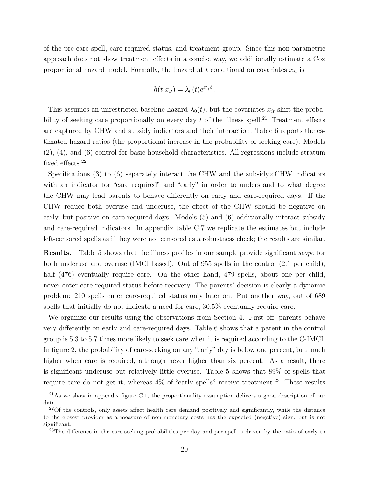of the pre-care spell, care-required status, and treatment group. Since this non-parametric approach does not show treatment effects in a concise way, we additionally estimate a Cox proportional hazard model. Formally, the hazard at t conditional on covariates  $x_{it}$  is

$$
h(t|x_{it}) = \lambda_0(t)e^{x'_{it}\beta}.
$$

This assumes an unrestricted baseline hazard  $\lambda_0(t)$ , but the covariates  $x_{it}$  shift the probability of seeking care proportionally on every day t of the illness spell.<sup>21</sup> Treatment effects are captured by CHW and subsidy indicators and their interaction. Table 6 reports the estimated hazard ratios (the proportional increase in the probability of seeking care). Models (2), (4), and (6) control for basic household characteristics. All regressions include stratum fixed effects.<sup>22</sup>

Specifications (3) to (6) separately interact the CHW and the subsidy  $\times$ CHW indicators with an indicator for "care required" and "early" in order to understand to what degree the CHW may lead parents to behave differently on early and care-required days. If the CHW reduce both overuse and underuse, the effect of the CHW should be negative on early, but positive on care-required days. Models (5) and (6) additionally interact subsidy and care-required indicators. In appendix table C.7 we replicate the estimates but include left-censored spells as if they were not censored as a robustness check; the results are similar.

**Results.** Table 5 shows that the illness profiles in our sample provide significant *scope* for both underuse and overuse (IMCI based). Out of 955 spells in the control (2.1 per child), half (476) eventually require care. On the other hand, 479 spells, about one per child, never enter care-required status before recovery. The parents' decision is clearly a dynamic problem: 210 spells enter care-required status only later on. Put another way, out of 689 spells that initially do not indicate a need for care, 30.5% eventually require care.

We organize our results using the observations from Section 4. First off, parents behave very differently on early and care-required days. Table 6 shows that a parent in the control group is 5.3 to 5.7 times more likely to seek care when it is required according to the C-IMCI. In figure 2, the probability of care-seeking on any "early" day is below one percent, but much higher when care is required, although never higher than six percent. As a result, there is significant underuse but relatively little overuse. Table 5 shows that 89% of spells that require care do not get it, whereas  $4\%$  of "early spells" receive treatment.<sup>23</sup> These results

 $^{21}$ As we show in appendix figure C.1, the proportionality assumption delivers a good description of our data.

 $22$ Of the controls, only assets affect health care demand positively and significantly, while the distance to the closest provider as a measure of non-monetary costs has the expected (negative) sign, but is not significant.

<sup>&</sup>lt;sup>23</sup>The difference in the care-seeking probabilities per day and per spell is driven by the ratio of early to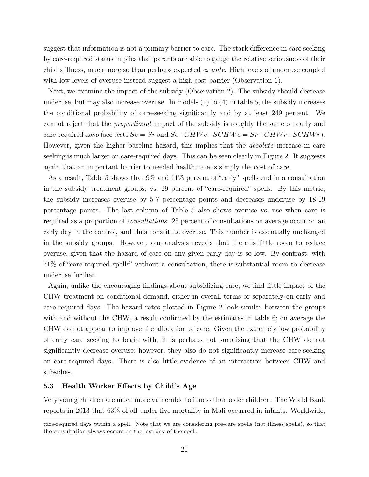suggest that information is not a primary barrier to care. The stark difference in care seeking by care-required status implies that parents are able to gauge the relative seriousness of their child's illness, much more so than perhaps expected ex ante. High levels of underuse coupled with low levels of overuse instead suggest a high cost barrier (Observation 1).

Next, we examine the impact of the subsidy (Observation 2). The subsidy should decrease underuse, but may also increase overuse. In models (1) to (4) in table 6, the subsidy increases the conditional probability of care-seeking significantly and by at least 249 percent. We cannot reject that the proportional impact of the subsidy is roughly the same on early and care-required days (see tests  $Se = Sr$  and  $Se + CHWe + SCHWe = Sr + CHWr + SCHWr$ ). However, given the higher baseline hazard, this implies that the absolute increase in care seeking is much larger on care-required days. This can be seen clearly in Figure 2. It suggests again that an important barrier to needed health care is simply the cost of care.

As a result, Table 5 shows that 9% and 11% percent of "early" spells end in a consultation in the subsidy treatment groups, vs. 29 percent of "care-required" spells. By this metric, the subsidy increases overuse by 5-7 percentage points and decreases underuse by 18-19 percentage points. The last column of Table 5 also shows overuse vs. use when care is required as a proportion of consultations. 25 percent of consultations on average occur on an early day in the control, and thus constitute overuse. This number is essentially unchanged in the subsidy groups. However, our analysis reveals that there is little room to reduce overuse, given that the hazard of care on any given early day is so low. By contrast, with 71% of "care-required spells" without a consultation, there is substantial room to decrease underuse further.

Again, unlike the encouraging findings about subsidizing care, we find little impact of the CHW treatment on conditional demand, either in overall terms or separately on early and care-required days. The hazard rates plotted in Figure 2 look similar between the groups with and without the CHW, a result confirmed by the estimates in table 6; on average the CHW do not appear to improve the allocation of care. Given the extremely low probability of early care seeking to begin with, it is perhaps not surprising that the CHW do not significantly decrease overuse; however, they also do not significantly increase care-seeking on care-required days. There is also little evidence of an interaction between CHW and subsidies.

## 5.3 Health Worker Effects by Child's Age

Very young children are much more vulnerable to illness than older children. The World Bank reports in 2013 that 63% of all under-five mortality in Mali occurred in infants. Worldwide,

care-required days within a spell. Note that we are considering pre-care spells (not illness spells), so that the consultation always occurs on the last day of the spell.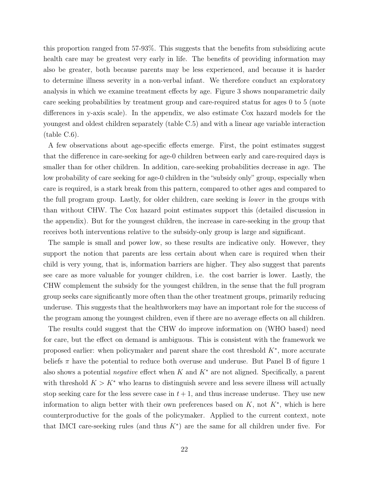this proportion ranged from 57-93%. This suggests that the benefits from subsidizing acute health care may be greatest very early in life. The benefits of providing information may also be greater, both because parents may be less experienced, and because it is harder to determine illness severity in a non-verbal infant. We therefore conduct an exploratory analysis in which we examine treatment effects by age. Figure 3 shows nonparametric daily care seeking probabilities by treatment group and care-required status for ages 0 to 5 (note differences in y-axis scale). In the appendix, we also estimate Cox hazard models for the youngest and oldest children separately (table C.5) and with a linear age variable interaction (table C.6).

A few observations about age-specific effects emerge. First, the point estimates suggest that the difference in care-seeking for age-0 children between early and care-required days is smaller than for other children. In addition, care-seeking probabilities decrease in age. The low probability of care seeking for age-0 children in the "subsidy only" group, especially when care is required, is a stark break from this pattern, compared to other ages and compared to the full program group. Lastly, for older children, care seeking is lower in the groups with than without CHW. The Cox hazard point estimates support this (detailed discussion in the appendix). But for the youngest children, the increase in care-seeking in the group that receives both interventions relative to the subsidy-only group is large and significant.

The sample is small and power low, so these results are indicative only. However, they support the notion that parents are less certain about when care is required when their child is very young, that is, information barriers are higher. They also suggest that parents see care as more valuable for younger children, i.e. the cost barrier is lower. Lastly, the CHW complement the subsidy for the youngest children, in the sense that the full program group seeks care significantly more often than the other treatment groups, primarily reducing underuse. This suggests that the healthworkers may have an important role for the success of the program among the youngest children, even if there are no average effects on all children.

The results could suggest that the CHW do improve information on (WHO based) need for care, but the effect on demand is ambiguous. This is consistent with the framework we proposed earlier: when policymaker and parent share the cost threshold  $K^*$ , more accurate beliefs  $\pi$  have the potential to reduce both overuse and underuse. But Panel B of figure 1 also shows a potential *negative* effect when K and  $K^*$  are not aligned. Specifically, a parent with threshold  $K > K^*$  who learns to distinguish severe and less severe illness will actually stop seeking care for the less severe case in  $t + 1$ , and thus increase underuse. They use new information to align better with their own preferences based on  $K$ , not  $K^*$ , which is here counterproductive for the goals of the policymaker. Applied to the current context, note that IMCI care-seeking rules (and thus  $K^*$ ) are the same for all children under five. For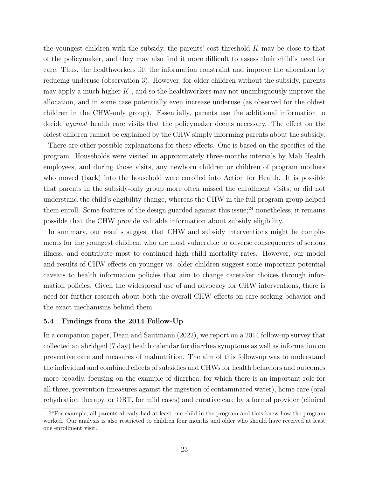the youngest children with the subsidy, the parents' cost threshold  $K$  may be close to that of the policymaker, and they may also find it more difficult to assess their child's need for care. Thus, the healthworkers lift the information constraint and improve the allocation by reducing underuse (observation 3). However, for older children without the subsidy, parents may apply a much higher  $K$ , and so the healthworkers may not unambiguously improve the allocation, and in some case potentially even increase underuse (as observed for the oldest children in the CHW-only group). Essentially, parents use the additional information to decide against health care visits that the policymaker deems necessary. The effect on the oldest children cannot be explained by the CHW simply informing parents about the subsidy.

There are other possible explanations for these effects. One is based on the specifics of the program. Households were visited in approximately three-months intervals by Mali Health employees, and during those visits, any newborn children or children of program mothers who moved (back) into the household were enrolled into Action for Health. It is possible that parents in the subsidy-only group more often missed the enrollment visits, or did not understand the child's eligibility change, whereas the CHW in the full program group helped them enroll. Some features of the design guarded against this issue;  $24$  nonetheless, it remains possible that the CHW provide valuable information about subsidy eligibility.

In summary, our results suggest that CHW and subsidy interventions might be complements for the youngest children, who are most vulnerable to adverse consequences of serious illness, and contribute most to continued high child mortality rates. However, our model and results of CHW effects on younger vs. older children suggest some important potential caveats to health information policies that aim to change caretaker choices through information policies. Given the widespread use of and advocacy for CHW interventions, there is need for further research about both the overall CHW effects on care seeking behavior and the exact mechanisms behind them.

## 5.4 Findings from the 2014 Follow-Up

In a companion paper, Dean and Sautmann (2022), we report on a 2014 follow-up survey that collected an abridged (7 day) health calendar for diarrhea symptoms as well as information on preventive care and measures of malnutrition. The aim of this follow-up was to understand the individual and combined effects of subsidies and CHWs for health behaviors and outcomes more broadly, focusing on the example of diarrhea, for which there is an important role for all three, prevention (measures against the ingestion of contaminated water), home care (oral rehydration therapy, or ORT, for mild cases) and curative care by a formal provider (clinical

<sup>&</sup>lt;sup>24</sup>For example, all parents already had at least one child in the program and thus knew how the program worked. Our analysis is also restricted to children four months and older who should have received at least one enrollment visit.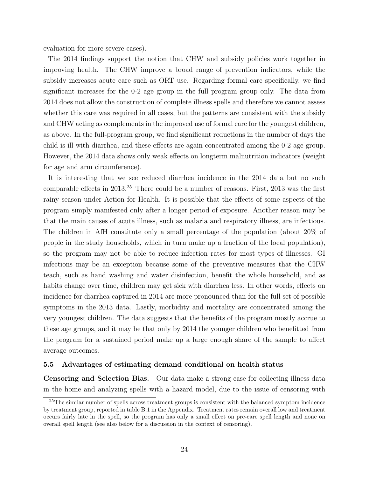evaluation for more severe cases).

The 2014 findings support the notion that CHW and subsidy policies work together in improving health. The CHW improve a broad range of prevention indicators, while the subsidy increases acute care such as ORT use. Regarding formal care specifically, we find significant increases for the 0-2 age group in the full program group only. The data from 2014 does not allow the construction of complete illness spells and therefore we cannot assess whether this care was required in all cases, but the patterns are consistent with the subsidy and CHW acting as complements in the improved use of formal care for the youngest children, as above. In the full-program group, we find significant reductions in the number of days the child is ill with diarrhea, and these effects are again concentrated among the 0-2 age group. However, the 2014 data shows only weak effects on longterm malnutrition indicators (weight for age and arm circumference).

It is interesting that we see reduced diarrhea incidence in the 2014 data but no such comparable effects in 2013.<sup>25</sup> There could be a number of reasons. First, 2013 was the first rainy season under Action for Health. It is possible that the effects of some aspects of the program simply manifested only after a longer period of exposure. Another reason may be that the main causes of acute illness, such as malaria and respiratory illness, are infectious. The children in AfH constitute only a small percentage of the population (about 20% of people in the study households, which in turn make up a fraction of the local population), so the program may not be able to reduce infection rates for most types of illnesses. GI infections may be an exception because some of the preventive measures that the CHW teach, such as hand washing and water disinfection, benefit the whole household, and as habits change over time, children may get sick with diarrhea less. In other words, effects on incidence for diarrhea captured in 2014 are more pronounced than for the full set of possible symptoms in the 2013 data. Lastly, morbidity and mortality are concentrated among the very youngest children. The data suggests that the benefits of the program mostly accrue to these age groups, and it may be that only by 2014 the younger children who benefitted from the program for a sustained period make up a large enough share of the sample to affect average outcomes.

## 5.5 Advantages of estimating demand conditional on health status

Censoring and Selection Bias. Our data make a strong case for collecting illness data in the home and analyzing spells with a hazard model, due to the issue of censoring with

<sup>&</sup>lt;sup>25</sup>The similar number of spells across treatment groups is consistent with the balanced symptom incidence by treatment group, reported in table B.1 in the Appendix. Treatment rates remain overall low and treatment occurs fairly late in the spell, so the program has only a small effect on pre-care spell length and none on overall spell length (see also below for a discussion in the context of censoring).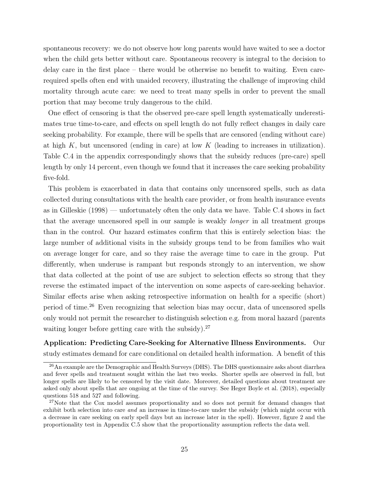spontaneous recovery: we do not observe how long parents would have waited to see a doctor when the child gets better without care. Spontaneous recovery is integral to the decision to delay care in the first place – there would be otherwise no benefit to waiting. Even carerequired spells often end with unaided recovery, illustrating the challenge of improving child mortality through acute care: we need to treat many spells in order to prevent the small portion that may become truly dangerous to the child.

One effect of censoring is that the observed pre-care spell length systematically underestimates true time-to-care, and effects on spell length do not fully reflect changes in daily care seeking probability. For example, there will be spells that are censored (ending without care) at high  $K$ , but uncensored (ending in care) at low  $K$  (leading to increases in utilization). Table C.4 in the appendix correspondingly shows that the subsidy reduces (pre-care) spell length by only 14 percent, even though we found that it increases the care seeking probability five-fold.

This problem is exacerbated in data that contains only uncensored spells, such as data collected during consultations with the health care provider, or from health insurance events as in Gilleskie (1998) — unfortunately often the only data we have. Table C.4 shows in fact that the average uncensored spell in our sample is weakly longer in all treatment groups than in the control. Our hazard estimates confirm that this is entirely selection bias: the large number of additional visits in the subsidy groups tend to be from families who wait on average longer for care, and so they raise the average time to care in the group. Put differently, when underuse is rampant but responds strongly to an intervention, we show that data collected at the point of use are subject to selection effects so strong that they reverse the estimated impact of the intervention on some aspects of care-seeking behavior. Similar effects arise when asking retrospective information on health for a specific (short) period of time.<sup>26</sup> Even recognizing that selection bias may occur, data of uncensored spells only would not permit the researcher to distinguish selection e.g. from moral hazard (parents waiting longer before getting care with the subsidy).<sup>27</sup>

Application: Predicting Care-Seeking for Alternative Illness Environments. Our study estimates demand for care conditional on detailed health information. A benefit of this

<sup>&</sup>lt;sup>26</sup>An example are the Demographic and Health Surveys (DHS). The DHS questionnaire asks about diarrhea and fever spells and treatment sought within the last two weeks. Shorter spells are observed in full, but longer spells are likely to be censored by the visit date. Moreover, detailed questions about treatment are asked only about spells that are ongoing at the time of the survey. See Heger Boyle et al. (2018), especially questions 518 and 527 and following.

<sup>&</sup>lt;sup>27</sup>Note that the Cox model assumes proportionality and so does not permit for demand changes that exhibit both selection into care and an increase in time-to-care under the subsidy (which might occur with a decrease in care seeking on early spell days but an increase later in the spell). However, figure 2 and the proportionality test in Appendix C.5 show that the proportionality assumption reflects the data well.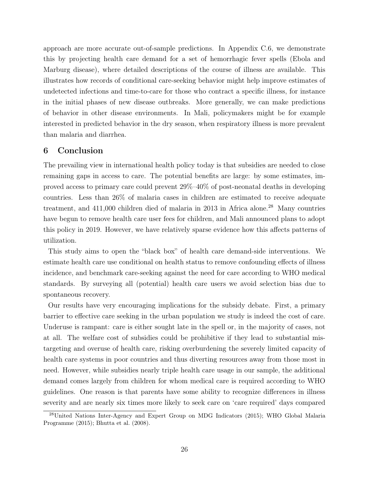approach are more accurate out-of-sample predictions. In Appendix C.6, we demonstrate this by projecting health care demand for a set of hemorrhagic fever spells (Ebola and Marburg disease), where detailed descriptions of the course of illness are available. This illustrates how records of conditional care-seeking behavior might help improve estimates of undetected infections and time-to-care for those who contract a specific illness, for instance in the initial phases of new disease outbreaks. More generally, we can make predictions of behavior in other disease environments. In Mali, policymakers might be for example interested in predicted behavior in the dry season, when respiratory illness is more prevalent than malaria and diarrhea.

## 6 Conclusion

The prevailing view in international health policy today is that subsidies are needed to close remaining gaps in access to care. The potential benefits are large: by some estimates, improved access to primary care could prevent 29%–40% of post-neonatal deaths in developing countries. Less than 26% of malaria cases in children are estimated to receive adequate treatment, and  $411,000$  children died of malaria in 2013 in Africa alone.<sup>28</sup> Many countries have begun to remove health care user fees for children, and Mali announced plans to adopt this policy in 2019. However, we have relatively sparse evidence how this affects patterns of utilization.

This study aims to open the "black box" of health care demand-side interventions. We estimate health care use conditional on health status to remove confounding effects of illness incidence, and benchmark care-seeking against the need for care according to WHO medical standards. By surveying all (potential) health care users we avoid selection bias due to spontaneous recovery.

Our results have very encouraging implications for the subsidy debate. First, a primary barrier to effective care seeking in the urban population we study is indeed the cost of care. Underuse is rampant: care is either sought late in the spell or, in the majority of cases, not at all. The welfare cost of subsidies could be prohibitive if they lead to substantial mistargeting and overuse of health care, risking overburdening the severely limited capacity of health care systems in poor countries and thus diverting resources away from those most in need. However, while subsidies nearly triple health care usage in our sample, the additional demand comes largely from children for whom medical care is required according to WHO guidelines. One reason is that parents have some ability to recognize differences in illness severity and are nearly six times more likely to seek care on 'care required' days compared

<sup>28</sup>United Nations Inter-Agency and Expert Group on MDG Indicators (2015); WHO Global Malaria Programme (2015); Bhutta et al. (2008).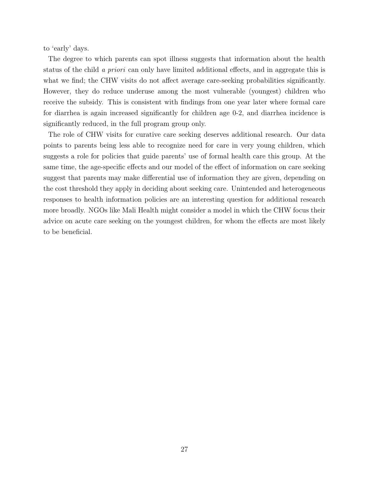to 'early' days.

The degree to which parents can spot illness suggests that information about the health status of the child a priori can only have limited additional effects, and in aggregate this is what we find; the CHW visits do not affect average care-seeking probabilities significantly. However, they do reduce underuse among the most vulnerable (youngest) children who receive the subsidy. This is consistent with findings from one year later where formal care for diarrhea is again increased significantly for children age 0-2, and diarrhea incidence is significantly reduced, in the full program group only.

The role of CHW visits for curative care seeking deserves additional research. Our data points to parents being less able to recognize need for care in very young children, which suggests a role for policies that guide parents' use of formal health care this group. At the same time, the age-specific effects and our model of the effect of information on care seeking suggest that parents may make differential use of information they are given, depending on the cost threshold they apply in deciding about seeking care. Unintended and heterogeneous responses to health information policies are an interesting question for additional research more broadly. NGOs like Mali Health might consider a model in which the CHW focus their advice on acute care seeking on the youngest children, for whom the effects are most likely to be beneficial.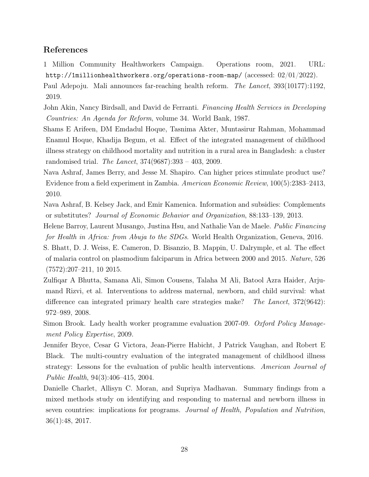# References

1 Million Community Healthworkers Campaign. Operations room, 2021. URL: http://1millionhealthworkers.org/operations-room-map/ (accessed: 02/01/2022).

Paul Adepoju. Mali announces far-reaching health reform. The Lancet, 393(10177):1192, 2019.

- John Akin, Nancy Birdsall, and David de Ferranti. Financing Health Services in Developing Countries: An Agenda for Reform, volume 34. World Bank, 1987.
- Shams E Arifeen, DM Emdadul Hoque, Tasnima Akter, Muntasirur Rahman, Mohammad Enamul Hoque, Khadija Begum, et al. Effect of the integrated management of childhood illness strategy on childhood mortality and nutrition in a rural area in Bangladesh: a cluster randomised trial. The Lancet, 374(9687):393 – 403, 2009.
- Nava Ashraf, James Berry, and Jesse M. Shapiro. Can higher prices stimulate product use? Evidence from a field experiment in Zambia. American Economic Review, 100(5):2383–2413, 2010.
- Nava Ashraf, B. Kelsey Jack, and Emir Kamenica. Information and subsidies: Complements or substitutes? Journal of Economic Behavior and Organization, 88:133–139, 2013.
- Helene Barroy, Laurent Musango, Justina Hsu, and Nathalie Van de Maele. Public Financing for Health in Africa: from Abuja to the SDGs. World Health Organization, Geneva, 2016.
- S. Bhatt, D. J. Weiss, E. Cameron, D. Bisanzio, B. Mappin, U. Dalrymple, et al. The effect of malaria control on plasmodium falciparum in Africa between 2000 and 2015. Nature, 526 (7572):207–211, 10 2015.
- Zulfiqar A Bhutta, Samana Ali, Simon Cousens, Talaha M Ali, Batool Azra Haider, Arjumand Rizvi, et al. Interventions to address maternal, newborn, and child survival: what difference can integrated primary health care strategies make? The Lancet, 372(9642): 972–989, 2008.
- Simon Brook. Lady health worker programme evaluation 2007-09. Oxford Policy Management Policy Expertise, 2009.
- Jennifer Bryce, Cesar G Victora, Jean-Pierre Habicht, J Patrick Vaughan, and Robert E Black. The multi-country evaluation of the integrated management of childhood illness strategy: Lessons for the evaluation of public health interventions. American Journal of Public Health, 94(3):406–415, 2004.
- Danielle Charlet, Allisyn C. Moran, and Supriya Madhavan. Summary findings from a mixed methods study on identifying and responding to maternal and newborn illness in seven countries: implications for programs. Journal of Health, Population and Nutrition, 36(1):48, 2017.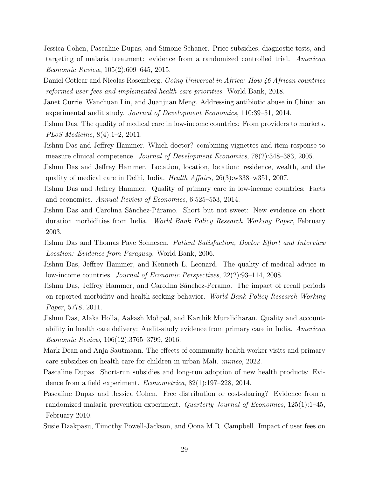- Jessica Cohen, Pascaline Dupas, and Simone Schaner. Price subsidies, diagnostic tests, and targeting of malaria treatment: evidence from a randomized controlled trial. American Economic Review, 105(2):609–645, 2015.
- Daniel Cotlear and Nicolas Rosemberg. Going Universal in Africa: How 46 African countries reformed user fees and implemented health care priorities. World Bank, 2018.
- Janet Currie, Wanchuan Lin, and Juanjuan Meng. Addressing antibiotic abuse in China: an experimental audit study. Journal of Development Economics, 110:39–51, 2014.
- Jishnu Das. The quality of medical care in low-income countries: From providers to markets. PLoS Medicine, 8(4):1–2, 2011.
- Jishnu Das and Jeffrey Hammer. Which doctor? combining vignettes and item response to measure clinical competence. Journal of Development Economics, 78(2):348–383, 2005.
- Jishnu Das and Jeffrey Hammer. Location, location, location: residence, wealth, and the quality of medical care in Delhi, India. Health Affairs, 26(3):w338–w351, 2007.
- Jishnu Das and Jeffrey Hammer. Quality of primary care in low-income countries: Facts and economics. Annual Review of Economics, 6:525–553, 2014.
- Jishnu Das and Carolina Sánchez-Páramo. Short but not sweet: New evidence on short duration morbidities from India. World Bank Policy Research Working Paper, February 2003.
- Jishnu Das and Thomas Pave Sohnesen. *Patient Satisfaction, Doctor Effort and Interview* Location: Evidence from Paraguay. World Bank, 2006.
- Jishnu Das, Jeffrey Hammer, and Kenneth L. Leonard. The quality of medical advice in low-income countries. Journal of Economic Perspectives, 22(2):93–114, 2008.
- Jishnu Das, Jeffrey Hammer, and Carolina Sánchez-Peramo. The impact of recall periods on reported morbidity and health seeking behavior. World Bank Policy Research Working Paper, 5778, 2011.
- Jishnu Das, Alaka Holla, Aakash Mohpal, and Karthik Muralidharan. Quality and accountability in health care delivery: Audit-study evidence from primary care in India. American Economic Review, 106(12):3765–3799, 2016.
- Mark Dean and Anja Sautmann. The effects of community health worker visits and primary care subsidies on health care for children in urban Mali. mimeo, 2022.
- Pascaline Dupas. Short-run subsidies and long-run adoption of new health products: Evidence from a field experiment. Econometrica, 82(1):197–228, 2014.
- Pascaline Dupas and Jessica Cohen. Free distribution or cost-sharing? Evidence from a randomized malaria prevention experiment. Quarterly Journal of Economics, 125(1):1–45, February 2010.
- Susie Dzakpasu, Timothy Powell-Jackson, and Oona M.R. Campbell. Impact of user fees on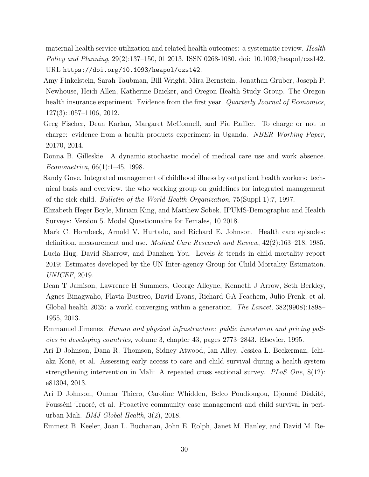maternal health service utilization and related health outcomes: a systematic review. Health Policy and Planning, 29(2):137–150, 01 2013. ISSN 0268-1080. doi: 10.1093/heapol/czs142. URL https://doi.org/10.1093/heapol/czs142.

- Amy Finkelstein, Sarah Taubman, Bill Wright, Mira Bernstein, Jonathan Gruber, Joseph P. Newhouse, Heidi Allen, Katherine Baicker, and Oregon Health Study Group. The Oregon health insurance experiment: Evidence from the first year. Quarterly Journal of Economics, 127(3):1057–1106, 2012.
- Greg Fischer, Dean Karlan, Margaret McConnell, and Pia Raffler. To charge or not to charge: evidence from a health products experiment in Uganda. NBER Working Paper, 20170, 2014.
- Donna B. Gilleskie. A dynamic stochastic model of medical care use and work absence. Econometrica, 66(1):1–45, 1998.
- Sandy Gove. Integrated management of childhood illness by outpatient health workers: technical basis and overview. the who working group on guidelines for integrated management of the sick child. Bulletin of the World Health Organization, 75(Suppl 1):7, 1997.
- Elizabeth Heger Boyle, Miriam King, and Matthew Sobek. IPUMS-Demographic and Health Surveys: Version 5. Model Questionnaire for Females, 10 2018.
- Mark C. Hornbeck, Arnold V. Hurtado, and Richard E. Johnson. Health care episodes: definition, measurement and use. Medical Care Research and Review, 42(2):163–218, 1985. Lucia Hug, David Sharrow, and Danzhen You. Levels & trends in child mortality report 2019: Estimates developed by the UN Inter-agency Group for Child Mortality Estimation. UNICEF, 2019.
- Dean T Jamison, Lawrence H Summers, George Alleyne, Kenneth J Arrow, Seth Berkley, Agnes Binagwaho, Flavia Bustreo, David Evans, Richard GA Feachem, Julio Frenk, et al. Global health 2035: a world converging within a generation. The Lancet, 382(9908):1898– 1955, 2013.
- Emmanuel Jimenez. Human and physical infrastructure: public investment and pricing policies in developing countries, volume 3, chapter 43, pages 2773–2843. Elsevier, 1995.
- Ari D Johnson, Dana R. Thomson, Sidney Atwood, Ian Alley, Jessica L. Beckerman, Ichiaka Koné, et al. Assessing early access to care and child survival during a health system strengthening intervention in Mali: A repeated cross sectional survey. PLoS One, 8(12): e81304, 2013.
- Ari D Johnson, Oumar Thiero, Caroline Whidden, Belco Poudiougou, Djoumé Diakité, Fousséni Traoré, et al. Proactive community case management and child survival in periurban Mali. BMJ Global Health, 3(2), 2018.
- Emmett B. Keeler, Joan L. Buchanan, John E. Rolph, Janet M. Hanley, and David M. Re-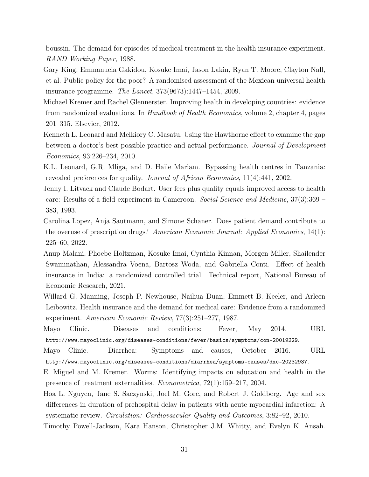boussin. The demand for episodes of medical treatment in the health insurance experiment. RAND Working Paper, 1988.

- Gary King, Emmanuela Gakidou, Kosuke Imai, Jason Lakin, Ryan T. Moore, Clayton Nall, et al. Public policy for the poor? A randomised assessment of the Mexican universal health insurance programme. The Lancet, 373(9673):1447–1454, 2009.
- Michael Kremer and Rachel Glennerster. Improving health in developing countries: evidence from randomized evaluations. In Handbook of Health Economics, volume 2, chapter 4, pages 201–315. Elsevier, 2012.
- Kenneth L. Leonard and Melkiory C. Masatu. Using the Hawthorne effect to examine the gap between a doctor's best possible practice and actual performance. Journal of Development Economics, 93:226–234, 2010.
- K.L. Leonard, G.R. Mliga, and D. Haile Mariam. Bypassing health centres in Tanzania: revealed preferences for quality. Journal of African Economies, 11(4):441, 2002.
- Jenny I. Litvack and Claude Bodart. User fees plus quality equals improved access to health care: Results of a field experiment in Cameroon. Social Science and Medicine, 37(3):369 – 383, 1993.
- Carolina Lopez, Anja Sautmann, and Simone Schaner. Does patient demand contribute to the overuse of prescription drugs? American Economic Journal: Applied Economics, 14(1): 225–60, 2022.
- Anup Malani, Phoebe Holtzman, Kosuke Imai, Cynthia Kinnan, Morgen Miller, Shailender Swaminathan, Alessandra Voena, Bartosz Woda, and Gabriella Conti. Effect of health insurance in India: a randomized controlled trial. Technical report, National Bureau of Economic Research, 2021.
- Willard G. Manning, Joseph P. Newhouse, Naihua Duan, Emmett B. Keeler, and Arleen Leibowitz. Health insurance and the demand for medical care: Evidence from a randomized experiment. American Economic Review, 77(3):251–277, 1987.
- Mayo Clinic. Diseases and conditions: Fever, May 2014. URL http://www.mayoclinic.org/diseases-conditions/fever/basics/symptoms/con-20019229.

Mayo Clinic. Diarrhea: Symptoms and causes, October 2016. URL http://www.mayoclinic.org/diseases-conditions/diarrhea/symptoms-causes/dxc-20232937.

- E. Miguel and M. Kremer. Worms: Identifying impacts on education and health in the presence of treatment externalities. Econometrica, 72(1):159–217, 2004.
- Hoa L. Nguyen, Jane S. Saczynski, Joel M. Gore, and Robert J. Goldberg. Age and sex differences in duration of prehospital delay in patients with acute myocardial infarction: A systematic review. Circulation: Cardiovascular Quality and Outcomes, 3:82–92, 2010.
- Timothy Powell-Jackson, Kara Hanson, Christopher J.M. Whitty, and Evelyn K. Ansah.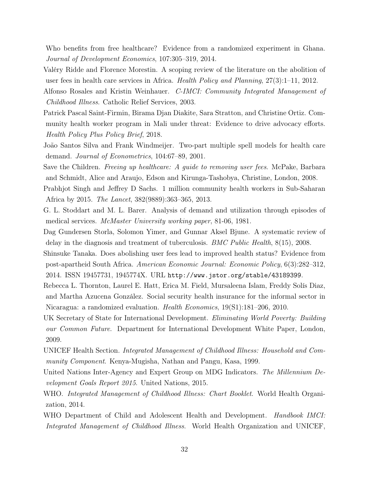Who benefits from free healthcare? Evidence from a randomized experiment in Ghana. Journal of Development Economics, 107:305–319, 2014.

- Valéry Ridde and Florence Morestin. A scoping review of the literature on the abolition of user fees in health care services in Africa. Health Policy and Planning, 27(3):1–11, 2012.
- Alfonso Rosales and Kristin Weinhauer. C-IMCI: Community Integrated Management of Childhood Illness. Catholic Relief Services, 2003.
- Patrick Pascal Saint-Firmin, Birama Djan Diakite, Sara Stratton, and Christine Ortiz. Community health worker program in Mali under threat: Evidence to drive advocacy efforts. Health Policy Plus Policy Brief, 2018.
- João Santos Silva and Frank Windmeijer. Two-part multiple spell models for health care demand. Journal of Econometrics, 104:67–89, 2001.
- Save the Children. *Freeing up healthcare: A guide to removing user fees.* McPake, Barbara and Schmidt, Alice and Araujo, Edson and Kirunga-Tashobya, Christine, London, 2008.
- Prabhjot Singh and Jeffrey D Sachs. 1 million community health workers in Sub-Saharan Africa by 2015. The Lancet, 382(9889):363–365, 2013.
- G. L. Stoddart and M. L. Barer. Analysis of demand and utilization through episodes of medical services. McMaster University working paper, 81-06, 1981.
- Dag Gundersen Storla, Solomon Yimer, and Gunnar Aksel Bjune. A systematic review of delay in the diagnosis and treatment of tuberculosis. BMC Public Health, 8(15), 2008.
- Shinsuke Tanaka. Does abolishing user fees lead to improved health status? Evidence from post-apartheid South Africa. American Economic Journal: Economic Policy, 6(3):282–312, 2014. ISSN 19457731, 1945774X. URL http://www.jstor.org/stable/43189399.
- Rebecca L. Thornton, Laurel E. Hatt, Erica M. Field, Mursaleena Islam, Freddy Solís Diaz, and Martha Azucena González. Social security health insurance for the informal sector in Nicaragua: a randomized evaluation. Health Economics, 19(S1):181–206, 2010.
- UK Secretary of State for International Development. Eliminating World Poverty: Building our Common Future. Department for International Development White Paper, London, 2009.
- UNICEF Health Section. Integrated Management of Childhood Illness: Household and Community Component. Kenya-Mugisha, Nathan and Pangu, Kasa, 1999.
- United Nations Inter-Agency and Expert Group on MDG Indicators. The Millennium Development Goals Report 2015. United Nations, 2015.
- WHO. Integrated Management of Childhood Illness: Chart Booklet. World Health Organization, 2014.
- WHO Department of Child and Adolescent Health and Development. *Handbook IMCI:* Integrated Management of Childhood Illness. World Health Organization and UNICEF,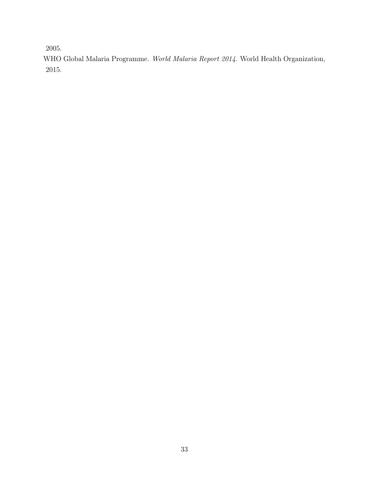2005.

WHO Global Malaria Programme. World Malaria Report 2014. World Health Organization, 2015.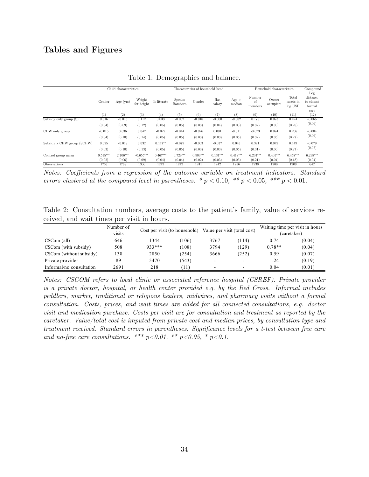# Tables and Figures

|                            | Child characteristics |            |                      | Characteritics of household head |                          |            |               | Household characteristics |                         |                    | Compound                      |                                         |
|----------------------------|-----------------------|------------|----------------------|----------------------------------|--------------------------|------------|---------------|---------------------------|-------------------------|--------------------|-------------------------------|-----------------------------------------|
|                            | Gender                | Age (yrs)  | Weight<br>for height | Is literate                      | <b>Speaks</b><br>Bambara | Gender     | Has<br>salary | Age ><br>median           | Number<br>οf<br>members | Owner<br>occupiers | Total<br>assets in<br>log USD | Log<br>distance<br>to closest<br>formal |
|                            | $\left(1\right)$      | (2)        | (3)                  | (4)                              | (5)                      |            | (6)<br>(7)    |                           | (9)                     | (10)               | (11)                          | care<br>(12)                            |
| $Subsidy$ only group $(S)$ | 0.016                 | $-0.018$   | 0.112                | 0.033                            | $-0.062$                 | $-0.018$   | $-0.000$      | $-0.002$                  | 0.175                   | 0.073              | 0.424                         | $-0.066$                                |
|                            | (0.04)                | (0.09)     | (0.12)               | (0.05)                           | (0.05)                   | (0.03)     | (0.04)        | (0.05)                    | (0.32)                  | (0.05)             | (0.28)                        | (0.06)                                  |
| CHW only group             | $-0.015$              | 0.036      | 0.042                | $-0.027$                         | $-0.044$                 | $-0.026$   | 0.001         | $-0.011$                  | $-0.073$                | 0.074              | 0.266                         | $-0.004$<br>(0.06)                      |
|                            | (0.04)                | (0.10)     | (0.14)               | (0.05)                           | (0.05)                   | (0.03)     | (0.03)        | (0.05)                    | (0.32)                  | (0.05)             | (0.27)                        |                                         |
| Subsidy x CHW group (SCHW) | 0.025                 | $-0.018$   | 0.032                | $0.117**$                        | $-0.079$                 | $-0.003$   | $-0.037$      | 0.043                     | 0.321                   | 0.042              | 0.149                         | $-0.079$                                |
|                            | (0.03)                | (0.10)     | (0.13)               | (0.05)                           | (0.05)                   | (0.03)     | (0.03)        | (0.05)                    | (0.31)                  | (0.06)             | (0.27)                        | (0.07)                                  |
| Control group mean         | $0.515***$            | $2.706***$ | $-0.655***$          | $0.467***$                       | $0.729***$               | $0.903***$ | $0.131***$    | $0.418***$                | $6.234***$              | $0.405***$         | $6.458***$                    | 6.238***                                |
|                            | (0.02)                | (0.06)     | (0.09)               | (0.04)                           | (0.04)                   | (0.02)     | (0.03)        | (0.03)                    | (0.21)                  | (0.04)             | (0.18)                        | (0.04)                                  |
| Observations               | 1763                  | 1768       | 1306                 | 1242                             | 1242                     | 1241       | 1242          | 1256                      | 1238                    | 1208               | 1208                          | 642                                     |

Table 1: Demographics and balance.

Notes: Coefficients from a regression of the outcome variable on treatment indicators. Standard errors clustered at the compound level in parentheses. \*  $p < 0.10$ , \*\*  $p < 0.05$ , \*\*\*  $p < 0.01$ .

Table 2: Consultation numbers, average costs to the patient's family, value of services received, and wait times per visit in hours.

|                          | Number of<br>visits | Cost per visit (to household) |       |                          | Value per visit (total cost) | Waiting time per visit in hours<br>(caretaker) |        |  |
|--------------------------|---------------------|-------------------------------|-------|--------------------------|------------------------------|------------------------------------------------|--------|--|
| $CSCom$ (all)            | 646                 | 1344                          | (106) | 3767                     | (114)                        | 0.74                                           | (0.04) |  |
| CSCom (with subsidy)     | 508                 | 933 ***                       | (108) | 3794                     | (129)                        | $0.78**$                                       | (0.04) |  |
| CSCom (without subsidy)  | 138                 | 2850                          | (254) | 3666                     | (252)                        | 0.59                                           | (0.07) |  |
| Private provider         | 89                  | 5470                          | (543) | $\overline{\phantom{a}}$ | -                            | 1.24                                           | (0.19) |  |
| Informal/no consultation | 2691                | 218                           | T1)   | $\overline{\phantom{a}}$ |                              | 0.04                                           | (0.01) |  |

Notes: CSCOM refers to local clinic or associated reference hospital (CSREF). Private provider is a private doctor, hospital, or health center provided e.g. by the Red Cross. Informal includes peddlers, market, traditional or religious healers, midwives, and pharmacy visits without a formal consultation. Costs, prices, and wait times are added for all connected consultations, e.g. doctor visit and medication purchase. Costs per visit are for consultation and treatment as reported by the caretaker. Value/total cost is imputed from private cost and median prices, by consultation type and treatment received. Standard errors in parentheses. Significance levels for a t-test between free care and no-free care consultations. \*\*\* p<0.01, \*\* p<0.05, \* p<0.1.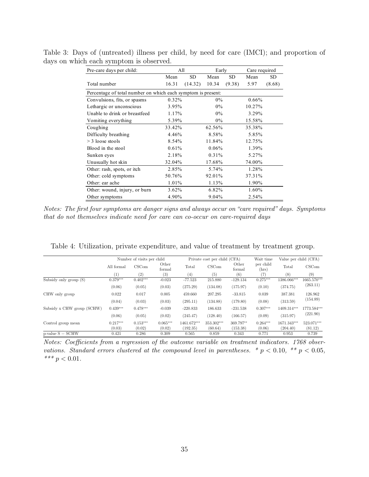| Pre-care days per child:                                     | All      |           | Early    |           | Care required |        |  |
|--------------------------------------------------------------|----------|-----------|----------|-----------|---------------|--------|--|
|                                                              | Mean     | <b>SD</b> | Mean     | <b>SD</b> | Mean          | SD.    |  |
| Total number                                                 | 16.31    | (14.32)   | 10.34    | (9.38)    | 5.97          | (8.68) |  |
| Percentage of total number on which each symptom is present: |          |           |          |           |               |        |  |
| Convulsions, fits, or spasms                                 | $0.32\%$ |           | $0\%$    |           | $0.66\%$      |        |  |
| Lethargic or unconscious                                     | 3.95%    |           | $0\%$    |           | 10.27%        |        |  |
| Unable to drink or breastfeed                                | 1.17%    |           | $0\%$    |           | 3.29%         |        |  |
| Vomiting everything                                          | 5.39%    |           | $0\%$    |           | 15.58%        |        |  |
| Coughing                                                     | 33.42%   |           | 62.56%   |           | 35.38%        |        |  |
| Difficulty breathing                                         | 4.46%    |           | 8.58%    |           | 5.85%         |        |  |
| $>$ 3 loose stools                                           | 8.54%    |           | 11.84%   |           | 12.75%        |        |  |
| Blood in the stool                                           | 0.61%    |           | $0.06\%$ |           | 1.39%         |        |  |
| Sunken eyes                                                  | 2.18%    |           | 0.31%    |           | 5.27%         |        |  |
| Unusually hot skin                                           | 32.04%   |           | 17.68%   |           | 74.00%        |        |  |
| Other: rash, spots, or itch                                  | 2.85%    |           | 5.74%    |           | 1.28%         |        |  |
| Other: cold symptoms                                         | 50.76%   |           | 92.01%   |           | 37.31%        |        |  |
| Other: ear ache                                              | 1.01%    |           | 1.13%    |           | 1.90%         |        |  |
| Other: wound, injury, or burn                                | 3.62%    |           | 6.82%    |           | 1.60%         |        |  |
| Other symptoms                                               | 4.90%    |           | 9.04%    |           | 2.54%         |        |  |

Table 3: Days of (untreated) illness per child, by need for care (IMCI); and proportion of days on which each symptom is observed.

Notes: The first four symptoms are danger signs and always occur on "care required" days. Symptoms that do not themselves indicate need for care can co-occur on care-required days

|                            | Number of visits per child |            |                 |             | Private cost per child (CFA) |                 | Wait time          | Value per child (CFA) |             |  |
|----------------------------|----------------------------|------------|-----------------|-------------|------------------------------|-----------------|--------------------|-----------------------|-------------|--|
|                            | All formal                 | CSCom      | Other<br>formal | Total       | CSCom                        | Other<br>formal | per child<br>(hrs) | Total                 | CSCom       |  |
|                            | (1)                        | (2)        | (3)             | (4)         | (5)                          | (6)             | (7)                | (8)                   | (9)         |  |
| Subsidy only group (S)     | $0.379***$                 | $0.402***$ | $-0.023$        | $-77.523$   | 215.880                      | $-129.134$      | $0.275***$         | 1386.066***           | 1665.570*** |  |
|                            | (0.06)                     | (0.05)     | (0.03)          | (275.29)    | (134.08)                     | (175.97)        | (0.10)             | (374.75)              | (263.11)    |  |
| CHW only group             | 0.022                      | 0.017      | 0.005           | 459.660     | 207.295                      | $-33.815$       | 0.039              | 387.381               | 126.962     |  |
|                            | (0.04)                     | (0.03)     | (0.03)          | (295.11)    | (134.88)                     | (179.80)        | (0.08)             | (313.59)              | (154.89)    |  |
| Subsidy x CHW group (SCHW) | $0.439***$                 | $0.478***$ | $-0.039$        | $-220.833$  | 186.633                      | $-231.538$      | $0.307***$         | 1409.314***           | 1773.584*** |  |
|                            | (0.06)                     | (0.05)     | (0.02)          | (245.47)    | (128.40)                     | (166.57)        | (0.09)             | (315.97)              | (221.90)    |  |
| Control group mean         | $0.217***$                 | $0.153***$ | $0.065***$      | 1461.672*** | 353.302***                   | 369.797**       | $0.264***$         | 1671.343***           | 523.071***  |  |
|                            | (0.03)                     | (0.02)     | (0.02)          | (192.35)    | (60.64)                      | (153.38)        | (0.06)             | (204.40)              | (81.12)     |  |
| $p$ -value $S = SCHW$      | 0.421                      | 0.286      | 0.309           | 0.565       | 0.859                        | 0.343           | 0.771              | 0.953                 | 0.739       |  |

Table 4: Utilization, private expenditure, and value of treatment by treatment group.

Notes: Coefficients from a regression of the outcome variable on treatment indicators. 1768 observations. Standard errors clustered at the compound level in parentheses.  $* p < 0.10, ** p < 0.05,$ \*\*\*  $p < 0.01$ .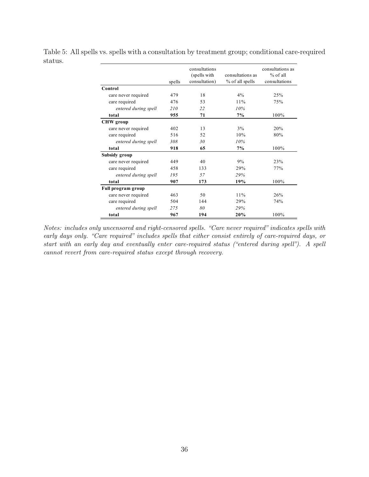|                      | spells | consultations<br>(spells with<br>consultation) | consultations as<br>% of all spells | consultations as<br>$%$ of all<br>consultations |
|----------------------|--------|------------------------------------------------|-------------------------------------|-------------------------------------------------|
| Control              |        |                                                |                                     |                                                 |
| care never required  | 479    | 18                                             | 4%                                  | 25%                                             |
| care required        | 476    | 53                                             | 11%                                 | 75%                                             |
| entered during spell | 210    | 22                                             | 10%                                 |                                                 |
| total                | 955    | 71                                             | 7%                                  | 100%                                            |
| <b>CHW</b> group     |        |                                                |                                     |                                                 |
| care never required  | 402    | 13                                             | 3%                                  | 20%                                             |
| care required        | 516    | 52                                             | 10%                                 | 80%                                             |
| entered during spell | 308    | 30                                             | 10%                                 |                                                 |
| total                | 918    | 65                                             | 7%                                  | 100%                                            |
| Subsidy group        |        |                                                |                                     |                                                 |
| care never required  | 449    | 40                                             | 9%                                  | 23%                                             |
| care required        | 458    | 133                                            | 29%                                 | 77%                                             |
| entered during spell | 195    | 57                                             | 29%                                 |                                                 |
| total                | 907    | 173                                            | 19%                                 | 100%                                            |
| Full program group   |        |                                                |                                     |                                                 |
| care never required  | 463    | 50                                             | 11%                                 | 26%                                             |
| care required        | 504    | 144                                            | 29%                                 | 74%                                             |
| entered during spell | 275    | 80                                             | 29%                                 |                                                 |
| total                | 967    | 194                                            | 20%                                 | 100%                                            |

Table 5: All spells vs. spells with a consultation by treatment group; conditional care-required status.

Notes: includes only uncensored and right-censored spells. "Care never required" indicates spells with early days only. "Care required" includes spells that either consist entirely of care-required days, or start with an early day and eventually enter care-required status ("entered during spell"). A spell cannot revert from care-required status except through recovery.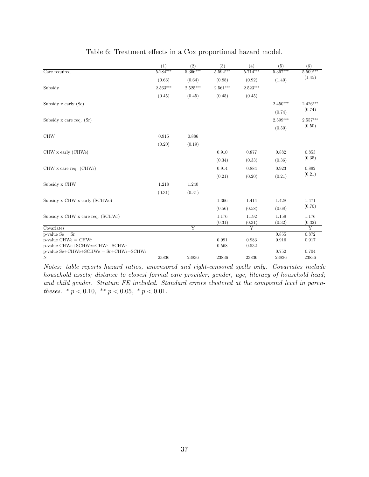|                                          | (1)        | (2)                     | (3)        | (4)            | (5)        | (6)             |  |
|------------------------------------------|------------|-------------------------|------------|----------------|------------|-----------------|--|
| Care required                            | $5.284***$ | 5.366***                | $5.592***$ | $5.714***$     | $5.367***$ | 5.509***        |  |
|                                          | (0.63)     | (0.64)                  | (0.88)     | (0.92)         | (1.40)     | (1.45)          |  |
| Subsidy                                  | $2.563***$ | 2.525***                | $2.561***$ | $2.523***$     |            |                 |  |
|                                          | (0.45)     | (0.45)                  | (0.45)     | (0.45)         |            |                 |  |
| Subsidy x early (Se)                     |            |                         |            |                | $2.450***$ | $2.426***$      |  |
|                                          |            |                         |            |                | (0.74)     | (0.74)          |  |
| Subsidy x care req. (Sr)                 |            |                         |            |                | $2.599***$ | $2.557***$      |  |
|                                          |            |                         |            |                | (0.50)     | (0.50)          |  |
| <b>CHW</b>                               | 0.915      | 0.886                   |            |                |            |                 |  |
|                                          | (0.20)     | (0.19)                  |            |                |            |                 |  |
| CHW x early (CHWe)                       |            |                         | 0.910      | 0.877          | 0.882      | 0.853<br>(0.35) |  |
|                                          |            |                         | (0.34)     | (0.33)         | (0.36)     |                 |  |
| $CHW x$ care req. $(CHWr)$               |            |                         | 0.914      | 0.884          | 0.923      | 0.892           |  |
|                                          |            |                         | (0.21)     | (0.20)         | (0.21)     | (0.21)          |  |
| Subsidy x CHW                            | 1.218      | 1.240                   |            |                |            |                 |  |
|                                          | (0.31)     | (0.31)                  |            |                |            |                 |  |
| Subsidy x CHW x early (SCHWe)            |            |                         | 1.366      | 1.414          | 1.428      | 1.471           |  |
|                                          |            |                         | (0.56)     | (0.58)         | (0.68)     | (0.70)          |  |
| Subsidy x CHW x care req. (SCHWr)        |            |                         | 1.176      | 1.192          | 1.159      | 1.176           |  |
|                                          |            |                         | (0.31)     | (0.31)         | (0.32)     | (0.32)          |  |
| Covariates                               |            | $\overline{\mathrm{Y}}$ |            | $\overline{Y}$ |            | $\overline{Y}$  |  |
| $p$ -value $Se = Sr$                     |            |                         |            |                | 0.855      | 0.872           |  |
| $p$ -value CHWe = CHWr                   |            |                         | 0.991      | 0.983          | 0.916      | 0.917           |  |
| p-value CHWe+SCHWe=CHWr+SCHWr            |            |                         | 0.568      | 0.532          |            |                 |  |
| $p$ -value Se+CHWe+SCHWe = Sr+CHWr+SCHWr |            |                         |            |                | 0.752      | 0.704           |  |
| $\overline{\text{N}}$                    | 23836      | 23836                   | 23836      | 23836          | 23836      | 23836           |  |

Notes: table reports hazard ratios, uncensored and right-censored spells only. Covariates include household assets; distance to closest formal care provider; gender, age, literacy of household head; and child gender. Stratum FE included. Standard errors clustered at the compound level in parentheses.  $* p < 0.10, * p < 0.05, * p < 0.01$ .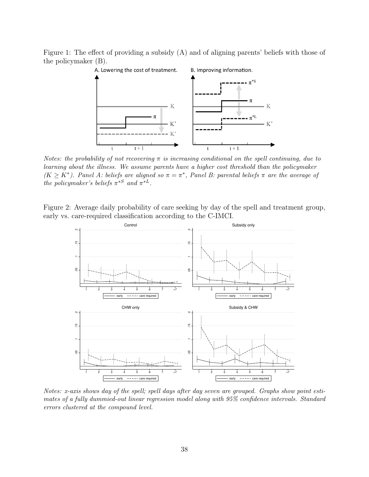Figure 1: The effect of providing a subsidy (A) and of aligning parents' beliefs with those of the policymaker (B).



Notes: the probability of not recovering  $\pi$  is increasing conditional on the spell continuing, due to learning about the illness. We assume parents have a higher cost threshold than the policymaker  $(K \geq K^*)$ . Panel A: beliefs are aligned so  $\pi = \pi^*$ , Panel B: parental beliefs  $\pi$  are the average of the policymaker's beliefs  $\pi^{*S}$  and  $\pi^{*L}$ .

Figure 2: Average daily probability of care seeking by day of the spell and treatment group, early vs. care-required classification according to the C-IMCI.



Notes: x-axis shows day of the spell; spell days after day seven are grouped. Graphs show point estimates of a fully dummied-out linear regression model along with 95% confidence intervals. Standard errors clustered at the compound level.